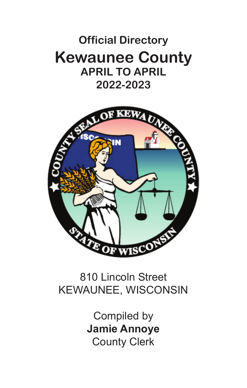# **Official Directory Official Directory Kewaunee County Kewaunee County APRIL TO APRIL APRIL TO APRIL 2019-2020 2022-2023**



## 810 Lincoln Street 810 Lincoln Street KEWAUNEE, WISCONSIN KEWAUNEE, WISCONSIN

Compiled by Compiled by **Jamie Annoye Jamie Annoye** County Clerk County Clerk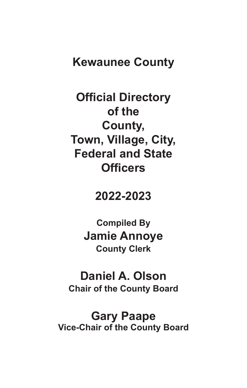## **Kewaunee County**

**Official Directory of the County, Town, Village, City, Federal and State Officers**

## **2022-2023**

**Compiled By Jamie Annoye County Clerk**

## **Daniel A. Olson Chair of the County Board**

**Gary Paape Vice-Chair of the County Board**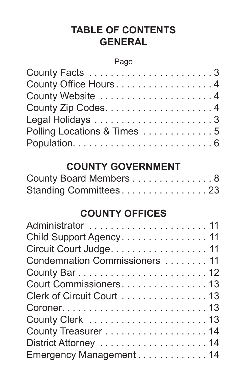## **TABLE OF CONTENTS GENERAL**

#### Page

| County Office Hours 4       |
|-----------------------------|
| County Website 4            |
|                             |
|                             |
| Polling Locations & Times 5 |
|                             |

## **COUNTY GOVERNMENT**

| County Board Members 8 |  |  |  |  |  |  |  |  |
|------------------------|--|--|--|--|--|--|--|--|
| Standing Committees23  |  |  |  |  |  |  |  |  |

## **COUNTY OFFICES**

| Administrator  11              |
|--------------------------------|
| Child Support Agency. 11       |
| Circuit Court Judge. 11        |
| Condemnation Commissioners  11 |
|                                |
| Court Commissioners 13         |
| Clerk of Circuit Court 13      |
|                                |
|                                |
|                                |
|                                |
| Emergency Management 14        |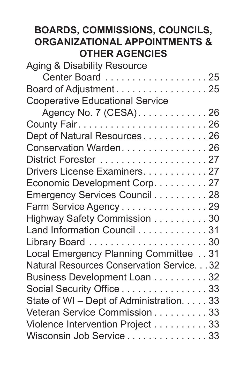## **BOARDS, COMMISSIONS, COUNCILS, ORGANIZATIONAL APPOINTMENTS & OTHER AGENCIES**

| Aging & Disability Resource                |
|--------------------------------------------|
| Center Board 25                            |
| Board of Adjustment25                      |
| <b>Cooperative Educational Service</b>     |
| Agency No. 7 (CESA). 26                    |
|                                            |
| Dept of Natural Resources26                |
| Conservation Warden. 26                    |
|                                            |
| Drivers License Examiners. 27              |
| Economic Development Corp. 27              |
| Emergency Services Council 28              |
| Farm Service Agency 29                     |
| Highway Safety Commission 30               |
| Land Information Council 31                |
|                                            |
| Local Emergency Planning Committee 31      |
| Natural Resources Conservation Service. 32 |
| Business Development Loan 32               |
| Social Security Office 33                  |
| State of WI - Dept of Administration. 33   |
| Veteran Service Commission 33              |
| Violence Intervention Project 33           |
| Wisconsin Job Service 33                   |
|                                            |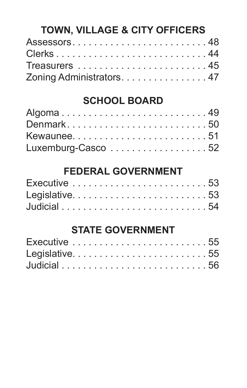## **TOWN, VILLAGE & CITY OFFICERS**

| Assessors48               |  |  |  |  |  |  |  |  |  |  |  |  |  |
|---------------------------|--|--|--|--|--|--|--|--|--|--|--|--|--|
|                           |  |  |  |  |  |  |  |  |  |  |  |  |  |
|                           |  |  |  |  |  |  |  |  |  |  |  |  |  |
| Zoning Administrators. 47 |  |  |  |  |  |  |  |  |  |  |  |  |  |

## **SCHOOL BOARD**

| Algoma49           |  |  |  |  |  |  |  |  |  |  |
|--------------------|--|--|--|--|--|--|--|--|--|--|
| Denmark50          |  |  |  |  |  |  |  |  |  |  |
| Kewaunee51         |  |  |  |  |  |  |  |  |  |  |
| Luxemburg-Casco 52 |  |  |  |  |  |  |  |  |  |  |

## **FEDERAL GOVERNMENT**

## **STATE GOVERNMENT**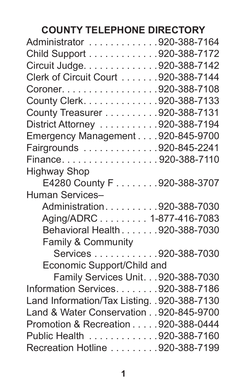# **COUNTY TELEPHONE DIRECTORY**

| Administrator 920-388-7164                   |  |
|----------------------------------------------|--|
| Child Support 920-388-7172                   |  |
| Circuit Judge. 920-388-7142                  |  |
| Clerk of Circuit Court 920-388-7144          |  |
| Coroner. 920-388-7108                        |  |
| County Clerk. 920-388-7133                   |  |
| County Treasurer 920-388-7131                |  |
| District Attorney 920-388-7194               |  |
| Emergency Management 920-845-9700            |  |
| Fairgrounds 920-845-2241                     |  |
| Finance920-388-7110                          |  |
| <b>Highway Shop</b>                          |  |
| E4280 County F 920-388-3707                  |  |
| <b>Human Services-</b>                       |  |
| Administration920-388-7030                   |  |
| Aging/ADRC 1-877-416-7083                    |  |
| Behavioral Health 920-388-7030               |  |
| Family & Community                           |  |
| Services 920-388-7030                        |  |
| Economic Support/Child and                   |  |
| Family Services Unit. 920-388-7030           |  |
| Information Services. 920-388-7186           |  |
| Land Information/Tax Listing. . 920-388-7130 |  |
| Land & Water Conservation 920-845-9700       |  |
| Promotion & Recreation 920-388-0444          |  |
| Public Health 920-388-7160                   |  |
| Recreation Hotline 920-388-7199              |  |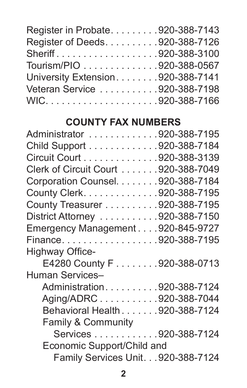| Register in Probate920-388-7143    |  |
|------------------------------------|--|
| Register of Deeds. 920-388-7126    |  |
| Sheriff920-388-3100                |  |
| Tourism/PIO 920-388-0567           |  |
| University Extension. 920-388-7141 |  |
| Veteran Service 920-388-7198       |  |
|                                    |  |

## **COUNTY FAX NUMBERS**

| Administrator 920-388-7195          |  |
|-------------------------------------|--|
| Child Support 920-388-7184          |  |
| Circuit Court 920-388-3139          |  |
| Clerk of Circuit Court 920-388-7049 |  |
| Corporation Counsel. 920-388-7184   |  |
| County Clerk. 920-388-7195          |  |
| County Treasurer 920-388-7195       |  |
| District Attorney 920-388-7150      |  |
| Emergency Management 920-845-9727   |  |
| Finance920-388-7195                 |  |
| <b>Highway Office-</b>              |  |
| E4280 County F 920-388-0713         |  |
| Human Services-                     |  |
| Administration920-388-7124          |  |
| Aging/ADRC920-388-7044              |  |
| Behavioral Health 920-388-7124      |  |
| <b>Family &amp; Community</b>       |  |
| Services 920-388-7124               |  |
| Economic Support/Child and          |  |
| Family Services Unit. 920-388-7124  |  |
|                                     |  |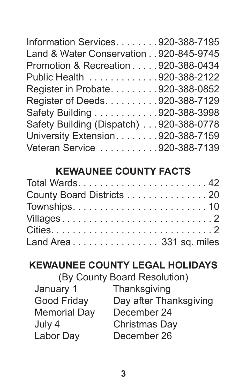| Information Services. 920-388-7195      |  |
|-----------------------------------------|--|
| Land & Water Conservation 920-845-9745  |  |
| Promotion & Recreation 920-388-0434     |  |
| Public Health 920-388-2122              |  |
| Register in Probate920-388-0852         |  |
| Register of Deeds. 920-388-7129         |  |
| Safety Building 920-388-3998            |  |
| Safety Building (Dispatch) 920-388-0778 |  |
| University Extension. 920-388-7159      |  |
| Veteran Service 920-388-7139            |  |

## **KEWAUNEE COUNTY FACTS**

| County Board Districts 20 |
|---------------------------|
|                           |
| Villages2                 |
|                           |
| Land Area 331 sq. miles   |

## **KEWAUNEE COUNTY LEGAL HOLIDAYS**

(By County Board Resolution)

| January 1           | Thanksgiving           |
|---------------------|------------------------|
| Good Friday         | Day after Thanksgiving |
| <b>Memorial Day</b> | December 24            |
| July 4              | Christmas Day          |
| Labor Day           | December 26            |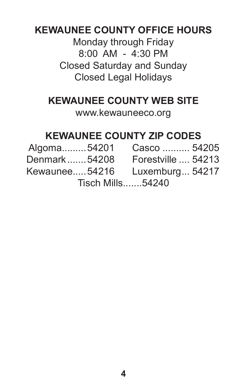## **KEWAUNEE COUNTY OFFICE HOURS**

Monday through Friday 8:00 AM - 4:30 PM Closed Saturday and Sunday Closed Legal Holidays

## **KEWAUNEE COUNTY WEB SITE**

www.kewauneeco.org

## **KEWAUNEE COUNTY ZIP CODES**

| Algoma54201   | Casco  54205       |  |
|---------------|--------------------|--|
| Denmark54208  | Forestville  54213 |  |
| Kewaunee54216 | Luxemburg 54217    |  |

Tisch Mills.......54240

**4**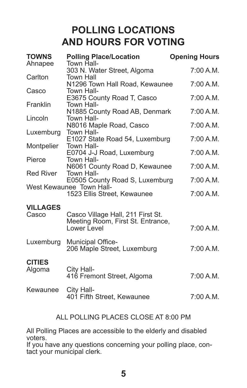## **POLLING LOCATIONS AND HOURS FOR VOTING**

| <b>TOWNS</b><br>Ahnapee | <b>Polling Place/Location</b><br>Town Hall-                | <b>Opening Hours</b> |
|-------------------------|------------------------------------------------------------|----------------------|
|                         | 303 N. Water Street, Algoma                                | 7:00 A.M.            |
| Carlton                 | <b>Town Hall</b><br>N1296 Town Hall Road, Kewaunee         | 7:00 A.M.            |
| Casco                   | Town Hall-                                                 |                      |
| Franklin                | E3675 County Road T, Casco<br>Town Hall-                   | 7:00 A.M.            |
|                         | N1885 County Road AB, Denmark                              | 7:00 A.M.            |
| Lincoln                 | Town Hall-<br>N8016 Maple Road, Casco                      | 7:00 A.M.            |
| Luxemburg               | Town Hall-                                                 |                      |
| Montpelier              | E1027 State Road 54, Luxemburg<br>Town Hall-               | 7:00 A.M.            |
|                         | E0704 J-J Road, Luxemburg                                  | 7:00 A.M.            |
| Pierce                  | Town Hall-<br>N6061 County Road D, Kewaunee                | 7:00 A.M.            |
| <b>Red River</b>        | Town Hall-                                                 |                      |
|                         | E0505 County Road S, Luxemburg<br>West Kewaunee Town Hall- | 7:00 A.M.            |
|                         | 1523 Ellis Street. Kewaunee                                | 7:00 A.M.            |
| <b>VILLAGES</b>         |                                                            |                      |
| Casco                   | Casco Village Hall, 211 First St.                          |                      |
|                         | Meeting Room, First St. Entrance,<br>Lower Level           | 7:00 A.M.            |
| Luxemburg               | Municipal Office-                                          |                      |
|                         | 206 Maple Street, Luxemburg                                | 7:00 A.M.            |
| <b>CITIES</b>           |                                                            |                      |
| Algoma                  | City Hall-<br>416 Fremont Street, Algoma                   | 7:00 A.M.            |
| Kewaunee                | City Hall-                                                 |                      |
|                         | 401 Fifth Street, Kewaunee                                 | 7:00 A.M.            |
|                         |                                                            |                      |

#### ALL POLLING PLACES CLOSE AT 8:00 PM

All Polling Places are accessible to the elderly and disabled voters.

If you have any questions concerning your polling place, contact your municipal clerk.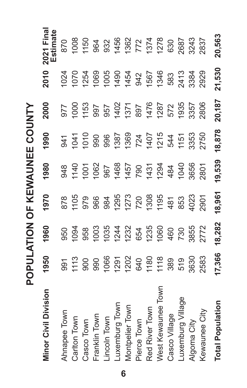POPULATION OF KEWAUNEE COUNTY **POPULATION OF KEWAUNEE COUNTY**

| <b>Minor Civil Division</b> | 1950                | 1960       | 1970                                                                         | 1980                                 | 1990                | 2000                     | 2010         | 2021 Final<br>Estimate                                        |
|-----------------------------|---------------------|------------|------------------------------------------------------------------------------|--------------------------------------|---------------------|--------------------------|--------------|---------------------------------------------------------------|
| Ahnapee Town                | 991                 | 950        | 878                                                                          |                                      | 941                 | 275                      | 024          | 870                                                           |
| Carlton Town                |                     | 1094       | 1105                                                                         | 94<br>1140                           | 1041                |                          | 1070         | 008                                                           |
| Casco Town                  | $\frac{113}{900}$   | 958        |                                                                              | 1001                                 | $\overline{5}$      | 1000<br>1153             | 1254         | 1150                                                          |
| Franklin Town               | 990                 | 1003       | 9<br>9<br>9<br>9<br>9<br>9<br>9<br>9<br>9<br>9<br>9<br>9<br>9<br>9<br>9<br>1 | 1062                                 | 990                 |                          | 1069         |                                                               |
| incoln Town                 | 1066                | 1035       |                                                                              | 967                                  | 996                 | 137<br>207<br>208<br>208 | 1005         | 964<br>932                                                    |
| uxemburg Town               | 1291                | 1244       | 1295                                                                         |                                      | 1387                |                          | 1454<br>1454 | 1456                                                          |
| Montpelier Town             | 1202                | 1232       |                                                                              |                                      | 1369                |                          |              |                                                               |
| Pierce Town                 | 640                 | 654        | 1273<br>720                                                                  | 1457<br>1457<br>1457<br>1484<br>1484 |                     |                          | 942          | $\frac{1362}{772}$<br>$\frac{772}{1374}$<br>$\frac{630}{630}$ |
| Red River Town              |                     | 1235       | 1308                                                                         |                                      | 724<br>1407<br>1215 | 897<br>1476<br>1287      | 1567         |                                                               |
| West Kewaunee               | $\frac{1180}{1118}$ | 1060       | 1195                                                                         |                                      |                     |                          | 1346         |                                                               |
| Casco Village               | 389                 | 460<br>730 |                                                                              |                                      | 544                 | 572                      | 583          |                                                               |
| uxemburg                    | 519                 |            | 481<br>853                                                                   | 1040                                 | 1151                | 1935                     | 2413         | 2687                                                          |
| Algoma City                 | 3630                | 3855       | 4023                                                                         | 3656                                 | 3353                | 3357                     | 3384         | 3243                                                          |
| Kewaunee City               | 2583                | 2772       | 2901                                                                         | 2801                                 | 2750                | 2806                     | 2929         | 2837                                                          |
| <b>Total Population</b>     | 17,366              | 18,282     | 18,961                                                                       | 19,539                               | 18,878              | 20,187                   | 21,530       | 20,563                                                        |

**6**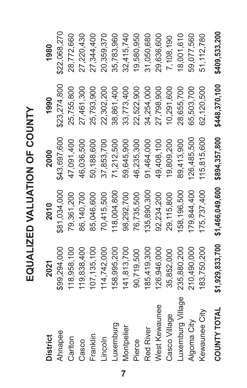EQUALIZED VALUATION OF COUNTY **EQUALIZED VALUATION OF COUNTY**

| District          | 2021          | 2010                                          | 2000         | 1990          | 1980          |
|-------------------|---------------|-----------------------------------------------|--------------|---------------|---------------|
| Ahnapee           | \$99,294,000  | \$81,034,000                                  | \$43,697,600 | \$23,274,800  | \$22,068,270  |
| Carlton           | 118,958,100   | 79,361,200                                    | 47,091,400   | 25,755,800    | 28,772,660    |
| Casco             | 119,838,400   | 86,140,700                                    | 46,036,500   | 27,461,300    | 27,220,430    |
| Franklin          | 107, 135, 100 | 85,046,600                                    | 50,188,600   | 25,793,900    | 27,344,400    |
| Lincoln           | 114,742,000   | 70,415,500                                    | 37,853,700   | 22,302,200    | 20,359,370    |
| Luxemburg         | 158,995,200   | 118,004,800                                   | 71,212,500   | 38,861,400    | 35,783,960    |
| Montpelier        | 141,813,700   | 98,292,700                                    | 59,645,900   | 33,773,400    | 32,415,740    |
| Pierce            | 90,719,500    | 76,735,500                                    | 46,235,300   | 22,522,900    | 19,580,950    |
| Red River         | 185,419,300   | 135,890,300                                   | 91,464,000   | 34,254,000    | 31,050,680    |
| West Kewaunee     | 126,946,000   | 92,234,200                                    | 49,408,100   | 27,798,900    | 29,636,600    |
| Casco Village     | 35,852,000    | 29,115,800                                    | 19,809,200   | 0,291,600     | 7,108,190     |
| Luxemburg Village | 235,880,200   | 158, 196, 500                                 | 89,413,900   | 28,655,700    | 18,001,610    |
| Algoma City       | 210,490,000   | 179,844,400                                   | 26,485,500   | 65,503,700    | 59,077,560    |
| Kewaunee City     | 183,750,200   | 175,737,400                                   | 115,815,600  | 62,120,500    | 51, 112, 780  |
| COUNTY TOTAL      |               | \$1,929,833,700 \$1,466,049,600 \$894,357,800 |              | \$448,370,100 | \$409,533,200 |

**7**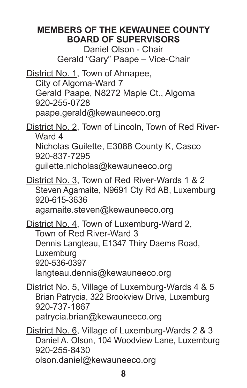### **MEMBERS OF THE KEWAUNEE COUNTY BOARD OF SUPERVISORS**

Daniel Olson - Chair Gerald "Gary" Paape – Vice-Chair

District No. 1, Town of Ahnapee, City of Algoma-Ward 7 Gerald Paape, N8272 Maple Ct., Algoma 920-255-0728 paape.gerald@kewauneeco.org

District No. 2, Town of Lincoln, Town of Red River-Ward 4 Nicholas Guilette, E3088 County K, Casco 920-837-7295 guilette.nicholas@kewauneeco.org

District No. 3, Town of Red River-Wards 1 & 2 Steven Agamaite, N9691 Cty Rd AB, Luxemburg 920-615-3636 agamaite.steven@kewauneeco.org

District No. 4, Town of Luxemburg-Ward 2, Town of Red River-Ward 3 Dennis Langteau, E1347 Thiry Daems Road, Luxemburg 920-536-0397 langteau.dennis@kewauneeco.org

District No. 5, Village of Luxemburg-Wards 4 & 5 Brian Patrycia, 322 Brookview Drive, Luxemburg 920-737-1867 patrycia.brian@kewauneeco.org

District No. 6, Village of Luxemburg-Wards 2 & 3 Daniel A. Olson, 104 Woodview Lane, Luxemburg 920-255-8430 olson.daniel@kewauneeco.org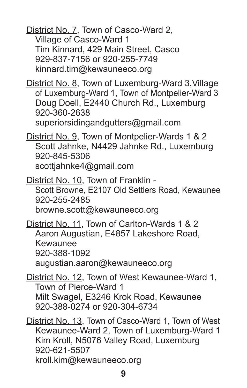District No. 7, Town of Casco-Ward 2, Village of Casco-Ward 1 Tim Kinnard, 429 Main Street, Casco 929-837-7156 or 920-255-7749 kinnard.tim@kewauneeco.org

District No. 8, Town of Luxemburg-Ward 3,Village of Luxemburg-Ward 1, Town of Montpelier-Ward 3 Doug Doell, E2440 Church Rd., Luxemburg 920-360-2638

superiorsidingandgutters@gmail.com

District No. 9, Town of Montpelier-Wards 1 & 2 Scott Jahnke, N4429 Jahnke Rd., Luxemburg 920-845-5306 scottjahnke4@gmail.com

District No. 10, Town of Franklin - Scott Browne, E2107 Old Settlers Road, Kewaunee 920-255-2485 browne.scott@kewauneeco.org

District No. 11, Town of Carlton-Wards 1 & 2 Aaron Augustian, E4857 Lakeshore Road, Kewaunee 920-388-1092 augustian.aaron@kewauneeco.org

District No. 12, Town of West Kewaunee-Ward 1, Town of Pierce-Ward 1 Milt Swagel, E3246 Krok Road, Kewaunee 920-388-0274 or 920-304-6734

District No. 13, Town of Casco-Ward 1, Town of West Kewaunee-Ward 2, Town of Luxemburg-Ward 1 Kim Kroll, N5076 Valley Road, Luxemburg 920-621-5507 kroll.kim@kewauneeco.org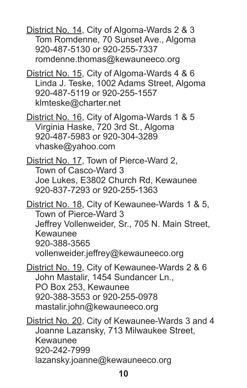District No. 14, City of Algoma-Wards 2 & 3 Tom Romdenne, 70 Sunset Ave., Algoma 920-487-5130 or 920-255-7337 romdenne.thomas@kewauneeco.org

District No. 15, City of Algoma-Wards 4 & 6 Linda J. Teske, 1002 Adams Street, Algoma 920-487-5119 or 920-255-1557 klmteske@charter.net

District No. 16, City of Algoma-Wards 1 & 5 Virginia Haske, 720 3rd St., Algoma 920-487-5983 or 920-304-3289 vhaske@yahoo.com

District No. 17, Town of Pierce-Ward 2, Town of Casco-Ward 3 Joe Lukes, E3802 Church Rd, Kewaunee 920-837-7293 or 920-255-1363

District No. 18, City of Kewaunee-Wards 1 & 5, Town of Pierce-Ward 3 Jeffrey Vollenweider, Sr., 705 N. Main Street, Kewaunee 920-388-3565 vollenweider.jeffrey@kewauneeco.org

District No. 19, City of Kewaunee-Wards 2 & 6 John Mastalir, 1454 Sundancer Ln., PO Box 253, Kewaunee 920-388-3553 or 920-255-0978 mastalir.john@kewauneeco.org

District No. 20, City of Kewaunee-Wards 3 and 4 Joanne Lazansky, 713 Milwaukee Street, Kewaunee 920-242-7999 lazansky.joanne@kewauneeco.org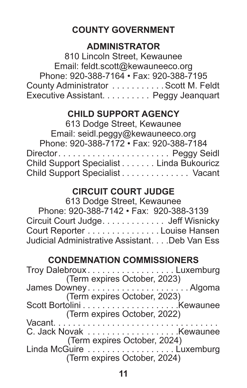## **COUNTY GOVERNMENT**

### **ADMINISTRATOR**

810 Lincoln Street, Kewaunee Email: feldt.scott@kewauneeco.org Phone: 920-388-7164 • Fax: 920-388-7195 County Administrator . . . . . . . . . . Scott M. Feldt Executive Assistant. . . . . . . . . . Peggy Jeanquart

#### **CHILD SUPPORT AGENCY**

| 613 Dodge Street, Kewaunee               |
|------------------------------------------|
| Email: seidl.peggy@kewauneeco.org        |
| Phone: 920-388-7172 · Fax: 920-388-7184  |
| Director Peggy Seidl                     |
| Child Support Specialist Linda Bukouricz |
| Child Support Specialist Vacant          |

### **CIRCUIT COURT JUDGE**

### 613 Dodge Street, Kewaunee

| Phone: 920-388-7142 • Fax: 920-388-3139        |
|------------------------------------------------|
| Circuit Court Judge Jeff Wisnicky              |
| Court Reporter Louise Hansen                   |
| Judicial Administrative Assistant. Deb Van Ess |
|                                                |

## **CONDEMNATION COMMISSIONERS**

| Troy DalebrouxLuxemburg<br>(Term expires October, 2023) |
|---------------------------------------------------------|
|                                                         |
| (Term expires October, 2023)                            |
|                                                         |
| (Term expires October, 2022)                            |
|                                                         |
|                                                         |
| (Term expires October, 2024)                            |
| Linda McGuire Luxemburg                                 |
| (Term expires October, 2024)                            |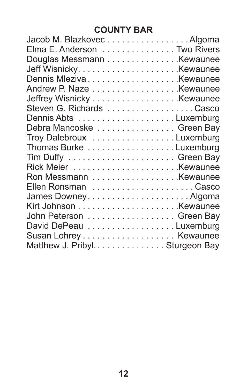## **COUNTY BAR**

| Jacob M. Blazkovec Algoma       |  |
|---------------------------------|--|
| Elma E. Anderson Two Rivers     |  |
| Douglas Messmann Kewaunee       |  |
|                                 |  |
| Dennis MlezivaKewaunee          |  |
| Andrew P. Naze Kewaunee         |  |
| Jeffrey Wisnicky Kewaunee       |  |
| Steven G. Richards Casco        |  |
|                                 |  |
| Debra Mancoske Green Bay        |  |
| Troy Dalebroux Luxemburg        |  |
| Thomas Burke Luxemburg          |  |
|                                 |  |
|                                 |  |
|                                 |  |
|                                 |  |
|                                 |  |
|                                 |  |
| John Peterson Green Bay         |  |
| David DePeau Luxemburg          |  |
|                                 |  |
| Matthew J. Pribyl. Sturgeon Bay |  |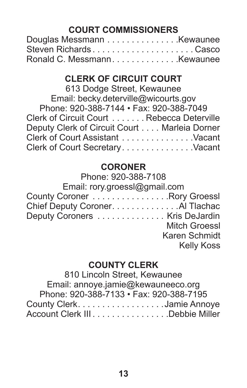## **COURT COMMISSIONERS**

| Steven RichardsCasco       |  |
|----------------------------|--|
| Ronald C. MessmannKewaunee |  |

## **CLERK OF CIRCUIT COURT**

| 613 Dodge Street, Kewaunee                   |  |
|----------------------------------------------|--|
| Email: becky.deterville@wicourts.gov         |  |
| Phone: 920-388-7144 • Fax: 920-388-7049      |  |
| Clerk of Circuit Court Rebecca Deterville    |  |
| Deputy Clerk of Circuit Court Marleia Dorner |  |
| Clerk of Court Assistant Vacant              |  |
| Clerk of Court Secretary. Vacant             |  |

### **CORONER**

### Phone: 920-388-7108

| Email: rory.groessl@gmail.com    |
|----------------------------------|
| County Coroner Rory Groessl      |
| Chief Deputy Coroner. Al Tlachac |
| Deputy Coroners Kris DeJardin    |
| <b>Mitch Groessl</b>             |
| Karen Schmidt                    |
| <b>Kelly Koss</b>                |
|                                  |

#### **COUNTY CLERK**

810 Lincoln Street, Kewaunee Email: annoye.jamie@kewauneeco.org Phone: 920-388-7133 • Fax: 920-388-7195 County Clerk . . . . . . . . . . . . . . . . . Jamie Annoye Account Clerk III . . . . . . . . . . . . . . . Debbie Miller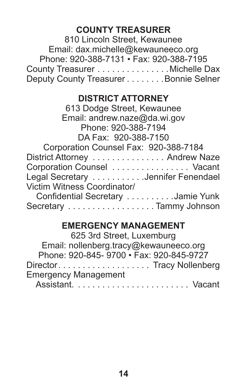### **COUNTY TREASURER**

810 Lincoln Street, Kewaunee Email: dax.michelle@kewauneeco.org Phone: 920-388-7131 • Fax: 920-388-7195 County Treasurer . . . . . . . . . . . . . . Michelle Dax Deputy County Treasurer . . . . . . . . Bonnie Selner

#### **DISTRICT ATTORNEY**

### **EMERGENCY MANAGEMENT**

| 625 3rd Street, Luxemburg               |  |
|-----------------------------------------|--|
| Email: nollenberg.tracy@kewauneeco.org  |  |
| Phone: 920-845-9700 · Fax: 920-845-9727 |  |
| DirectorTracy Nollenberg                |  |
| <b>Emergency Management</b>             |  |
|                                         |  |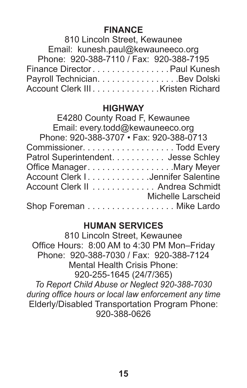### **FINANCE**

| 810 Lincoln Street, Kewaunee            |
|-----------------------------------------|
| Email: kunesh.paul@kewauneeco.org       |
| Phone: 920-388-7110 / Fax: 920-388-7195 |
| Finance DirectorPaul Kunesh             |
| Payroll Technician. Bev Dolski          |
| Account Clerk III. Kristen Richard      |

#### **HIGHWAY**

| E4280 County Road F, Kewaunee           |
|-----------------------------------------|
| Email: every.todd@kewauneeco.org        |
| Phone: 920-388-3707 · Fax: 920-388-0713 |
|                                         |
| Patrol Superintendent. Jesse Schley     |
| Office Manager. Mary Meyer              |
| Account Clerk I. Jennifer Salentine     |
| Account Clerk II Andrea Schmidt         |
| Michelle Larscheid                      |
| Shop Foreman Mike Lardo                 |
|                                         |

### **HUMAN SERVICES**

810 Lincoln Street, Kewaunee Office Hours: 8:00 AM to 4:30 PM Mon–Friday Phone: 920-388-7030 / Fax: 920-388-7124 Mental Health Crisis Phone: 920-255-1645 (24/7/365) *To Report Child Abuse or Neglect 920-388-7030 during office hours or local law enforcement any time* Elderly/Disabled Transportation Program Phone: 920-388-0626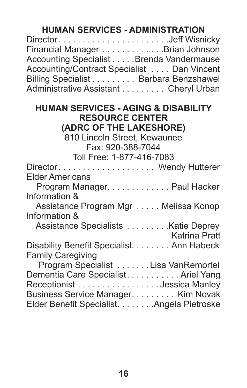## **HUMAN SERVICES - ADMINISTRATION**

| DirectorJeff Wisnicky                      |  |
|--------------------------------------------|--|
| Financial Manager Brian Johnson            |  |
| Accounting Specialist Brenda Vandermause   |  |
| Accounting/Contract Specialist Dan Vincent |  |
| Billing Specialist Barbara Benzshawel      |  |
| Administrative Assistant Cheryl Urban      |  |

#### **HUMAN SERVICES - AGING & DISABILITY RESOURCE CENTER (ADRC OF THE LAKESHORE)**

810 Lincoln Street, Kewaunee Fax: 920-388-7044 Toll Free: 1-877-416-7083 Director . . . . . . . . . . . . . . . . . . . . Wendy Hutterer Elder Americans Program Manager. . . . . . . . . . . . . Paul Hacker Information & Assistance Program Mgr . . . . . Melissa Konop Information & Assistance Specialists . . . . . . . . Katie Deprey Katrina Pratt Disability Benefit Specialist. . . . . . . . Ann Habeck Family Caregiving Program Specialist . . . . . . Lisa VanRemortel Dementia Care Specialist . . . . . . . . . . Ariel Yang Receptionist . . . . . . . . . . . . . . . . Jessica Manley Business Service Manager . . . . . . . . . Kim Novak Elder Benefit Specialist........Angela Pietroske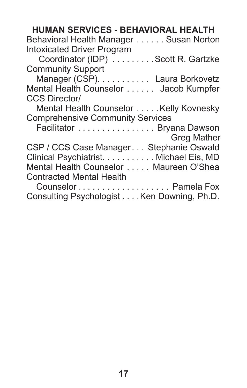| <b>HUMAN SERVICES - BEHAVIORAL HEALTH</b>                          |
|--------------------------------------------------------------------|
| Behavioral Health Manager Susan Norton                             |
| <b>Intoxicated Driver Program</b>                                  |
| Coordinator (IDP) Scott R. Gartzke                                 |
| <b>Community Support</b>                                           |
| Manager (CSP). Laura Borkovetz                                     |
| Mental Health Counselor Jacob Kumpfer                              |
| <b>CCS Director/</b>                                               |
| Mental Health Counselor  Kelly Kovnesky                            |
| <b>Comprehensive Community Services</b>                            |
| Facilitator Bryana Dawson                                          |
| <b>Greg Mather</b>                                                 |
| CSP / CCS Case Manager Stephanie Oswald                            |
| Clinical Psychiatrist. Michael Eis, MD                             |
| Mental Health Counselor Maureen O'Shea                             |
|                                                                    |
| <b>Contracted Mental Health</b>                                    |
| Counselor Pamela Fox<br>Consulting Psychologist Ken Downing, Ph.D. |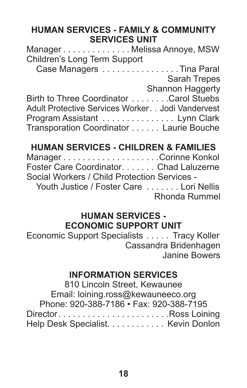### **HUMAN SERVICES - FAMILY & COMMUNITY SERVICES UNIT**

| ManagerMelissa Annoye, MSW                       |                          |
|--------------------------------------------------|--------------------------|
| Children's Long Term Support                     |                          |
|                                                  | Case Managers Tina Paral |
|                                                  | Sarah Trepes             |
|                                                  | Shannon Haggerty         |
| Birth to Three Coordinator Carol Stuebs          |                          |
| Adult Protective Services Worker Jodi Vandervest |                          |
| Program Assistant Lynn Clark                     |                          |
| Transporation Coordinator Laurie Bouche          |                          |

## **HUMAN SERVICES - CHILDREN & FAMILIES**

Manager . . . . . . . . . . . . . . . . . . . Corinne Konkol Foster Care Coordinator . . . . . . . Chad Laluzerne Social Workers / Child Protection Services - Youth Justice / Foster Care . . . . . . . Lori Nellis Rhonda Rummel

#### **HUMAN SERVICES - ECONOMIC SUPPORT UNIT**

Economic Support Specialists . . . . . Tracy Koller Cassandra Bridenhagen Janine Bowers

### **INFORMATION SERVICES**

810 Lincoln Street, Kewaunee Email: loining.ross@kewauneeco.org Phone: 920-388-7186 • Fax: 920-388-7195 Director . . . . . . . . . . . . . . . . . . . . . . Ross Loining Help Desk Specialist. . . . . . . . . . . . Kevin Donlon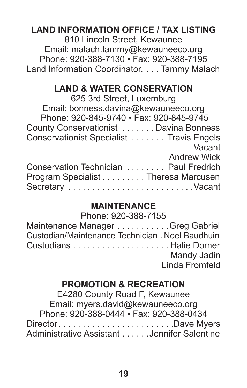## **LAND INFORMATION OFFICE / TAX LISTING**

810 Lincoln Street, Kewaunee Email: malach.tammy@kewauneeco.org Phone: 920-388-7130 • Fax: 920-388-7195 Land Information Coordinator. . . Tammy Malach

#### **LAND & WATER CONSERVATION**

625 3rd Street, Luxemburg Email: bonness.davina@kewauneeco.org Phone: 920-845-9740 • Fax: 920-845-9745 County Conservationist . . . . . . Davina Bonness Conservationist Specialist . . . . . . . Travis Engels Vacant Andrew Wick Conservation Technician . . . . . . . . Paul Fredrich Program Specialist . . . . . . . . . Theresa Marcusen Secretary . . . . . . . . . . . . . . . . . . . . . . . . . Vacant

## **MAINTENANCE**

| Phone: 920-388-7155                             |                |
|-------------------------------------------------|----------------|
| Maintenance Manager Greg Gabriel                |                |
| Custodian/Maintenance Technician. Noel Baudhuin |                |
|                                                 |                |
|                                                 | Mandy Jadin    |
|                                                 | Linda Fromfeld |

### **PROMOTION & RECREATION**

E4280 County Road F, Kewaunee Email: myers.david@kewauneeco.org Phone: 920-388-0444 • Fax: 920-388-0434 Director . . . . . . . . . . . . . . . . . . . . . . . Dave Myers Administrative Assistant......Jennifer Salentine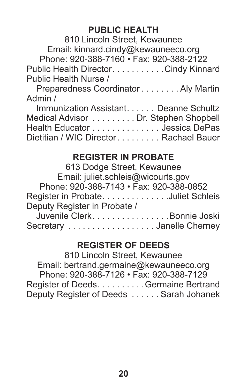### **PUBLIC HEALTH**

810 Lincoln Street, Kewaunee Email: kinnard.cindy@kewauneeco.org Phone: 920-388-7160 • Fax: 920-388-2122 Public Health Director. . . . . . . . . . . Cindy Kinnard Public Health Nurse /

 Preparedness Coordinator . . . . . . . Aly Martin Admin /

| Immunization Assistant. Deanne Schultz |  |
|----------------------------------------|--|
| Medical Advisor Dr. Stephen Shopbell   |  |
| Health Educator Jessica DePas          |  |
| Dietitian / WIC Director Rachael Bauer |  |

## **REGISTER IN PROBATE**

| 613 Dodge Street, Kewaunee              |
|-----------------------------------------|
| Email: juliet.schleis@wicourts.gov      |
| Phone: 920-388-7143 • Fax: 920-388-0852 |
| Register in ProbateJuliet Schleis       |
| Deputy Register in Probate /            |
| Juvenile ClerkBonnie Joski              |
| Secretary Janelle Cherney               |

## **REGISTER OF DEEDS**

810 Lincoln Street, Kewaunee Email: bertrand.germaine@kewauneeco.org Phone: 920-388-7126 • Fax: 920-388-7129 Register of Deeds. . . . . . . . . . Germaine Bertrand Deputy Register of Deeds . . . . . Sarah Johanek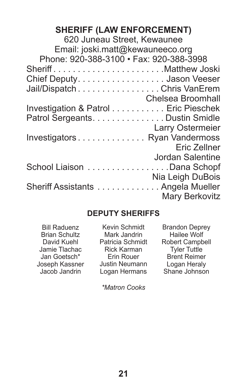## **SHERIFF (LAW ENFORCEMENT)**

| 620 Juneau Street. Kewaunee             |
|-----------------------------------------|
| Email: joski.matt@kewauneeco.org        |
| Phone: 920-388-3100 · Fax: 920-388-3998 |
| SheriffMatthew Joski                    |
| Chief Deputy. Jason Veeser              |
| Jail/Dispatch Chris VanErem             |
| Chelsea Broomhall                       |
| Investigation & Patrol Eric Pieschek    |
| Patrol Sergeants. Dustin Smidle         |
| Larry Ostermeier                        |
| Investigators Ryan Vandermoss           |
| Eric Zellner                            |
| Jordan Salentine                        |
| School Liaison Dana Schopf              |
| Nia Leigh DuBois                        |
| Sheriff Assistants Angela Mueller       |
| Mary Berkovitz                          |
|                                         |

### **DEPUTY SHERIFFS**

| <b>Bill Raduenz</b>  | Kevin Schmidt      | <b>Brandon Deprey</b>  |
|----------------------|--------------------|------------------------|
| <b>Brian Schultz</b> | Mark Jandrin       | Hailee Wolf            |
| David Kuehl          | Patricia Schmidt   | <b>Robert Campbell</b> |
| Jamie Tlachac        | <b>Rick Karman</b> | <b>Tyler Tuttle</b>    |
| Jan Goetsch*         | Erin Rouer         | <b>Brent Reimer</b>    |
| Joseph Kassner       | Justin Neumann     | Logan Heraly           |
| Jacob Jandrin        | Logan Hermans      | Shane Johnson          |
|                      |                    |                        |

*\*Matron Cooks*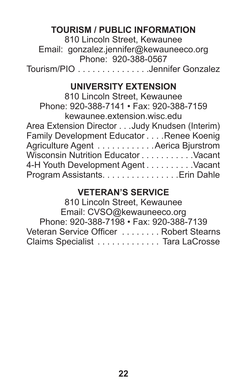## **TOURISM / PUBLIC INFORMATION**

810 Lincoln Street, Kewaunee Email: gonzalez.jennifer@kewauneeco.org Phone: 920-388-0567 Tourism/PIO . . . . . . . . . . . . . . Jennifer Gonzalez

### **UNIVERSITY EXTENSION**

810 Lincoln Street, Kewaunee Phone: 920-388-7141 • Fax: 920-388-7159 kewaunee.extension.wisc.edu Area Extension Director...Judy Knudsen (Interim) Family Development Educator . . . . Renee Koenig Agriculture Agent . . . . . . . . . . . Aerica Bjurstrom Wisconsin Nutrition Educator . . . . . . . . . . Vacant 4-H Youth Development Agent . . . . . . . . . Vacant Program Assistants . . . . . . . . . . . . . . . Erin Dahle

#### **VETERAN'S SERVICE**

810 Lincoln Street, Kewaunee Email: CVSO@kewauneeco.org Phone: 920-388-7198 • Fax: 920-388-7139 Veteran Service Officer ........ Robert Stearns Claims Specialist . . . . . . . . . . . . . Tara LaCrosse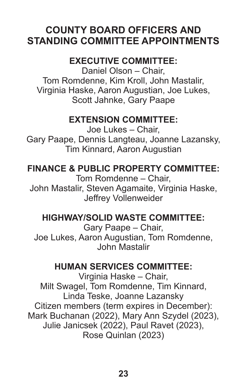## **COUNTY BOARD OFFICERS AND STANDING COMMITTEE APPOINTMENTS**

## **EXECUTIVE COMMITTEE:**

Daniel Olson – Chair, Tom Romdenne, Kim Kroll, John Mastalir, Virginia Haske, Aaron Augustian, Joe Lukes, Scott Jahnke, Gary Paape

### **EXTENSION COMMITTEE:**

Joe Lukes – Chair, Gary Paape, Dennis Langteau, Joanne Lazansky, Tim Kinnard, Aaron Augustian

**FINANCE & PUBLIC PROPERTY COMMITTEE:**

Tom Romdenne – Chair, John Mastalir, Steven Agamaite, Virginia Haske, Jeffrey Vollenweider

### **HIGHWAY/SOLID WASTE COMMITTEE:**

Gary Paape – Chair, Joe Lukes, Aaron Augustian, Tom Romdenne, John Mastalir

### **HUMAN SERVICES COMMITTEE:**

Virginia Haske – Chair, Milt Swagel, Tom Romdenne, Tim Kinnard, Linda Teske, Joanne Lazansky Citizen members (term expires in December): Mark Buchanan (2022), Mary Ann Szydel (2023), Julie Janicsek (2022), Paul Ravet (2023), Rose Quinlan (2023)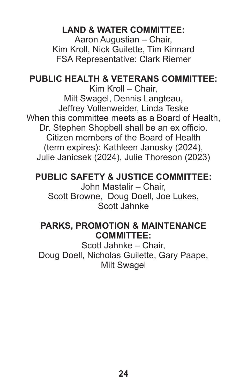## **LAND & WATER COMMITTEE:**

Aaron Augustian – Chair, Kim Kroll, Nick Guilette, Tim Kinnard FSA Representative: Clark Riemer

### **PUBLIC HEALTH & VETERANS COMMITTEE:**

Kim Kroll – Chair, Milt Swagel, Dennis Langteau, Jeffrey Vollenweider, Linda Teske When this committee meets as a Board of Health, Dr. Stephen Shopbell shall be an ex officio. Citizen members of the Board of Health (term expires): Kathleen Janosky (2024), Julie Janicsek (2024), Julie Thoreson (2023)

### **PUBLIC SAFETY & JUSTICE COMMITTEE:**

John Mastalir – Chair, Scott Browne, Doug Doell, Joe Lukes, Scott Jahnke

### **PARKS, PROMOTION & MAINTENANCE COMMITTEE:**

Scott Jahnke – Chair, Doug Doell, Nicholas Guilette, Gary Paape, Milt Swagel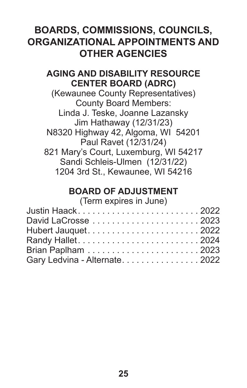## **BOARDS, COMMISSIONS, COUNCILS, ORGANIZATIONAL APPOINTMENTS AND OTHER AGENCIES**

### **AGING AND DISABILITY RESOURCE CENTER BOARD (ADRC)**

(Kewaunee County Representatives) County Board Members: Linda J. Teske, Joanne Lazansky Jim Hathaway (12/31/23) N8320 Highway 42, Algoma, WI 54201 Paul Ravet (12/31/24) 821 Mary's Court, Luxemburg, WI 54217 Sandi Schleis-Ulmen (12/31/22) 1204 3rd St., Kewaunee, WI 54216

## **BOARD OF ADJUSTMENT**

#### (Term expires in June)

| Justin Haack2022               |  |
|--------------------------------|--|
|                                |  |
| Hubert Jauquet2022             |  |
|                                |  |
|                                |  |
| Gary Ledvina - Alternate. 2022 |  |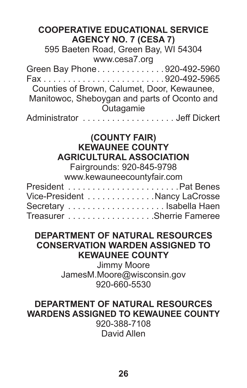| <b>COOPERATIVE EDUCATIONAL SERVICE</b><br><b>AGENCY NO. 7 (CESA 7)</b>                                                                                                |  |  |  |
|-----------------------------------------------------------------------------------------------------------------------------------------------------------------------|--|--|--|
| 595 Baeten Road, Green Bay, WI 54304<br>www.cesa7.org                                                                                                                 |  |  |  |
| Green Bay Phone920-492-5960<br>Counties of Brown, Calumet, Door, Kewaunee,<br>Manitowoc, Sheboygan and parts of Oconto and<br>Outagamie<br>Administrator Jeff Dickert |  |  |  |
| (COUNTY FAIR)<br><b>KEWAUNEE COUNTY</b>                                                                                                                               |  |  |  |
| <b>AGRICULTURAL ASSOCIATION</b><br>Fairgrounds: 920-845-9798<br>www.kewauneecountyfair.com                                                                            |  |  |  |
| Vice-President Nancy LaCrosse<br>Treasurer Sherrie Fameree                                                                                                            |  |  |  |

### **DEPARTMENT OF NATURAL RESOURCES CONSERVATION WARDEN ASSIGNED TO KEWAUNEE COUNTY**

Jimmy Moore JamesM.Moore@wisconsin.gov 920-660-5530

## **DEPARTMENT OF NATURAL RESOURCES WARDENS ASSIGNED TO KEWAUNEE COUNTY**

920-388-7108 David Allen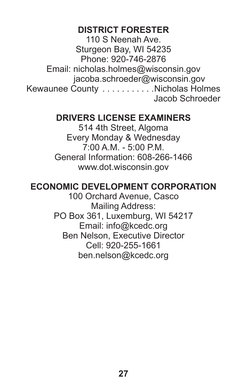### **DISTRICT FORESTER**

110 S Neenah Ave. Sturgeon Bay, WI 54235 Phone: 920-746-2876 Email: nicholas.holmes@wisconsin.gov jacoba.schroeder@wisconsin.gov Kewaunee County . . . . . . . . . . Nicholas Holmes Jacob Schroeder

### **DRIVERS LICENSE EXAMINERS**

514 4th Street, Algoma Every Monday & Wednesday 7:00 A.M. - 5:00 P.M. General Information: 608-266-1466 www.dot.wisconsin.gov

### **ECONOMIC DEVELOPMENT CORPORATION**

100 Orchard Avenue, Casco Mailing Address: PO Box 361, Luxemburg, WI 54217 Email: info@kcedc.org Ben Nelson, Executive Director Cell: 920-255-1661 ben.nelson@kcedc.org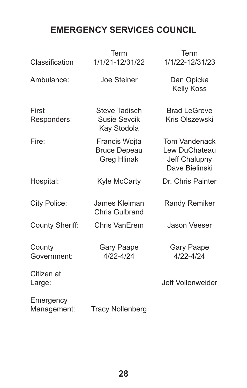## **EMERGENCY SERVICES COUNCIL**

| Classification           | Term<br>1/1/21-12/31/22                             | Term<br>1/1/22-12/31/23                                           |
|--------------------------|-----------------------------------------------------|-------------------------------------------------------------------|
| Ambulance:               | Joe Steiner                                         | Dan Opicka<br>Kelly Koss                                          |
| First<br>Responders:     | Steve Tadisch<br>Susie Sevcik<br>Kay Stodola        | <b>Brad LeGreve</b><br>Kris Olszewski                             |
| Fire:                    | Francis Wojta<br><b>Bruce Depeau</b><br>Greg Hlinak | Tom Vandenack<br>Lew DuChateau<br>Jeff Chalupny<br>Dave Bielinski |
| Hospital:                | Kyle McCarty                                        | Dr. Chris Painter                                                 |
| City Police:             | James Kleiman<br>Chris Gulbrand                     | Randy Remiker                                                     |
| County Sheriff:          | Chris VanErem                                       | Jason Veeser                                                      |
| County<br>Government:    | Gary Paape<br>4/22-4/24                             | Gary Paape<br>4/22-4/24                                           |
| Citizen at<br>Large:     |                                                     | Jeff Vollenweider                                                 |
| Emergency<br>Management: | <b>Tracy Nollenberg</b>                             |                                                                   |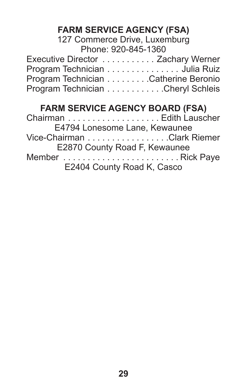# **FARM SERVICE AGENCY (FSA)**

#### 127 Commerce Drive, Luxemburg Phone: 920-845-1360

| Executive Director Zachary Werner    |  |
|--------------------------------------|--|
| Program Technician Julia Ruiz        |  |
| Program Technician Catherine Beronio |  |
| Program Technician Cheryl Schleis    |  |

# **FARM SERVICE AGENCY BOARD (FSA)**

| E4794 Lonesome Lane, Kewaunee |  |
|-------------------------------|--|
| Vice-Chairman Clark Riemer    |  |
| E2870 County Road F, Kewaunee |  |
|                               |  |
| E2404 County Road K, Casco    |  |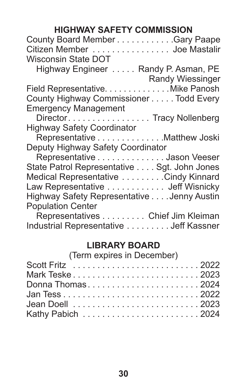## **HIGHWAY SAFETY COMMISSION**

| County Board Member Gary Paape<br>Citizen Member Joe Mastalir |
|---------------------------------------------------------------|
| Wisconsin State DOT                                           |
| Highway Engineer Randy P. Asman, PE                           |
| Randy Wiessinger                                              |
| Field Representative. Mike Panosh                             |
| County Highway Commissioner Todd Every                        |
| <b>Emergency Management</b>                                   |
| DirectorTracy Nollenberg                                      |
| <b>Highway Safety Coordinator</b>                             |
| Representative Matthew Joski                                  |
| Deputy Highway Safety Coordinator                             |
| Representative Jason Veeser                                   |
| State Patrol Representative Sgt. John Jones                   |
| Medical Representative Cindy Kinnard                          |
| Law Representative Jeff Wisnicky                              |
| Highway Safety Representative Jenny Austin                    |
| <b>Population Center</b>                                      |
| Representatives Chief Jim Kleiman                             |
|                                                               |

Industrial Representative . . . . . . . . Jeff Kassner

## **LIBRARY BOARD**

(Term expires in December)

| Donna Thomas2024 |  |  |
|------------------|--|--|
|                  |  |  |
|                  |  |  |
|                  |  |  |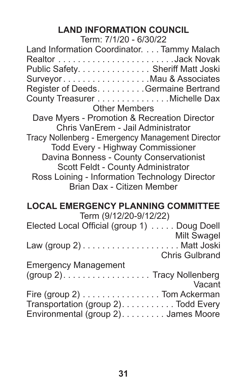# **LAND INFORMATION COUNCIL**

| Term: 7/1/20 - 6/30/22                                     |
|------------------------------------------------------------|
| Land Information Coordinator. Tammy Malach                 |
| Public Safety. Sheriff Matt Joski                          |
| SurveyorMau & Associates                                   |
| Register of Deeds. Germaine Bertrand                       |
| County Treasurer Michelle Dax                              |
| <b>Other Members</b>                                       |
| Dave Myers - Promotion & Recreation Director               |
| Chris VanErem - Jail Administrator                         |
| Tracy Nollenberg - Emergency Management Director           |
| Todd Every - Highway Commissioner                          |
| Davina Bonness - County Conservationist                    |
| Scott Feldt - County Administrator                         |
| Ross Loining - Information Technology Director             |
| Brian Dax - Citizen Member                                 |
| <b>LOCAL EMERGENCY PLANNING COMMITTEE</b>                  |
| Term (9/12/20-9/12/22)                                     |
| Elected Local Official (group 1) Doug Doell<br>Milt Swagel |
|                                                            |
| Chris Gulbrand                                             |
| <b>Emergency Management</b>                                |
| (group 2). Tracy Nollenberg<br>Vacant                      |
| Fire (group 2) Tom Ackerman                                |
|                                                            |
| Environmental (group 2). James Moore                       |
| Transportation (group 2). Todd Every                       |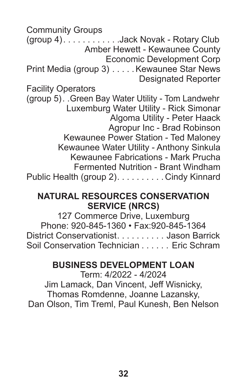Community Groups (group 4) . . . . . . . . . . . Jack Novak - Rotary Club Amber Hewett - Kewaunee County Economic Development Corp Print Media (group 3) . . . . . Kewaunee Star News Designated Reporter Facility Operators (group 5) . Green Bay Water Utility - Tom Landwehr Luxemburg Water Utility - Rick Simonar Algoma Utility - Peter Haack Agropur Inc - Brad Robinson Kewaunee Power Station - Ted Maloney Kewaunee Water Utility - Anthony Sinkula Kewaunee Fabrications - Mark Prucha Fermented Nutrition - Brant Windham

Public Health (group 2). . . . . . . . . . Cindy Kinnard

### **NATURAL RESOURCES CONSERVATION SERVICE (NRCS)**

127 Commerce Drive, Luxemburg Phone: 920-845-1360 • Fax:920-845-1364 District Conservationist. . . . . . . . . Jason Barrick Soil Conservation Technician . . . . . . Eric Schram

## **BUSINESS DEVELOPMENT LOAN**

Term: 4/2022 - 4/2024 Jim Lamack, Dan Vincent, Jeff Wisnicky, Thomas Romdenne, Joanne Lazansky, Dan Olson, Tim Treml, Paul Kunesh, Ben Nelson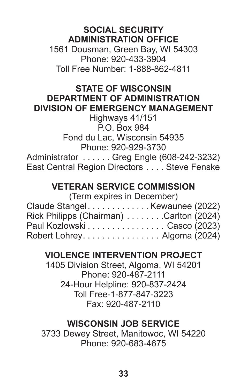### **SOCIAL SECURITY ADMINISTRATION OFFICE**

1561 Dousman, Green Bay, WI 54303 Phone: 920-433-3904 Toll Free Number: 1-888-862-4811

#### **STATE OF WISCONSIN DEPARTMENT OF ADMINISTRATION DIVISION OF EMERGENCY MANAGEMENT**

Highways 41/151 P.O. Box 984 Fond du Lac, Wisconsin 54935 Phone: 920-929-3730 Administrator . . . . . . Greg Engle (608-242-3232) East Central Region Directors . . . . Steve Fenske

## **VETERAN SERVICE COMMISSION**

| (Term expires in December)              |  |
|-----------------------------------------|--|
| Claude StangelKewaunee (2022)           |  |
| Rick Philipps (Chairman) Carlton (2024) |  |
| Paul Kozlowski Casco (2023)             |  |
| Robert Lohrey. Algoma (2024)            |  |

# **VIOLENCE INTERVENTION PROJECT**

1405 Division Street, Algoma, WI 54201 Phone: 920-487-2111 24-Hour Helpline: 920-837-2424 Toll Free-1-877-847-3223 Fax: 920-487-2110

## **WISCONSIN JOB SERVICE**

3733 Dewey Street, Manitowoc, WI 54220 Phone: 920-683-4675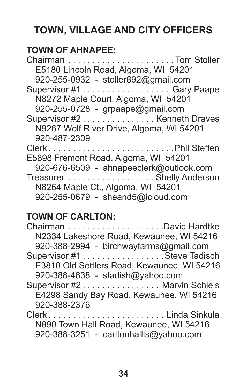# **TOWN, VILLAGE AND CITY OFFICERS**

# **TOWN OF AHNAPEE:**

| E5180 Lincoln Road, Algoma, WI 54201     |  |
|------------------------------------------|--|
| 920-255-0932 - stoller892@gmail.com      |  |
| Supervisor #1 Gary Paape                 |  |
| N8272 Maple Court, Algoma, WI 54201      |  |
| 920-255-0728 - grpaape@gmail.com         |  |
| Supervisor #2 Kenneth Draves             |  |
| N9267 Wolf River Drive, Algoma, WI 54201 |  |
| 920-487-2309                             |  |
| ClerkPhil Steffen                        |  |
| E5898 Fremont Road, Algoma, WI 54201     |  |
| 920-676-6509 - ahnapeeclerk@outlook.com  |  |
| Treasurer Shelly Anderson                |  |
| N8264 Maple Ct., Algoma, WI 54201        |  |
| 920-255-0679 - sheand5@icloud.com        |  |

# **TOWN OF CARLTON:**

| N2334 Lakeshore Road, Kewaunee, WI 54216    |
|---------------------------------------------|
|                                             |
| Supervisor #1 Steve Tadisch                 |
| E3810 Old Settlers Road, Kewaunee, WI 54216 |
|                                             |
| Supervisor #2 Marvin Schleis                |
| E4298 Sandy Bay Road, Kewaunee, WI 54216    |
|                                             |
| ClerkLinda Sinkula                          |
|                                             |
|                                             |
|                                             |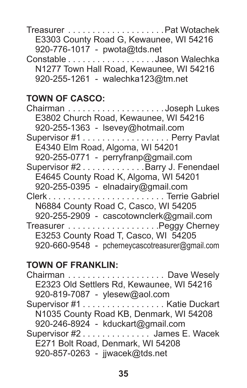Treasurer . . . . . . . . . . . . . . . . . . . Pat Wotachek E3303 County Road G, Kewaunee, WI 54216 920-776-1017 - pwota@tds.net

Constable . . . . . . . . . . . . . . . . . Jason Walechka N1277 Town Hall Road, Kewaunee, WI 54216 920-255-1261 - walechka123@tm.net

## **TOWN OF CASCO:**

| E3802 Church Road, Kewaunee, WI 54216           |  |
|-------------------------------------------------|--|
| 920-255-1363 - Isevey@hotmail.com               |  |
|                                                 |  |
| E4340 Elm Road, Algoma, WI 54201                |  |
| 920-255-0771 - perryfranp@gmail.com             |  |
| Supervisor #2 Barry J. Fenendael                |  |
| E4645 County Road K, Algoma, WI 54201           |  |
| 920-255-0395 - elnadairy@gmail.com              |  |
| ClerkTerrie Gabriel                             |  |
| N6884 County Road C, Casco, WI 54205            |  |
| 920-255-2909 - cascotownclerk@gmail.com         |  |
|                                                 |  |
| E3253 County Road T, Casco, WI 54205            |  |
| 920-660-9548 - pcherneycascotreasurer@gmail.com |  |

## **TOWN OF FRANKLIN:**

| E2323 Old Settlers Rd, Kewaunee, WI 54216 |  |
|-------------------------------------------|--|
| 920-819-7087 - ylesew@aol.com             |  |
| Supervisor #1 Katie Duckart               |  |
| N1035 County Road KB, Denmark, WI 54208   |  |
| 920-246-8924 - kduckart@gmail.com         |  |
| Supervisor #2 James E. Wacek              |  |
| E271 Bolt Road, Denmark, WI 54208         |  |
| 920-857-0263 - jjwacek@tds.net            |  |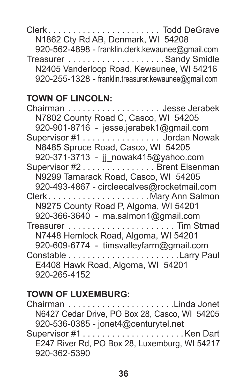Clerk . . . . . . . . . . . . . . . . . . . . . . . Todd DeGrave N1862 Cty Rd AB, Denmark, WI 54208 920-562-4898 - franklin.clerk.kewaunee@gmail.com Treasurer . . . . . . . . . . . . . . . . . . . Sandy Smidle N2405 Vanderloop Road, Kewaunee, WI 54216 920-255-1328 - franklin.treasurer.kewaunee@gmail.com

## **TOWN OF LINCOLN:**

| Chairman Jesse Jerabek                      |
|---------------------------------------------|
| N7802 County Road C, Casco, WI 54205        |
| 920-901-8716 - jesse.jerabek1@gmail.com     |
| Supervisor #1 Jordan Nowak                  |
| N8485 Spruce Road, Casco, WI 54205          |
| 920-371-3713 - jj_nowak415@yahoo.com        |
| Supervisor #2 Brent Eisenman                |
| N9299 Tamarack Road, Casco, WI 54205        |
| 920-493-4867 - circleecalves@rocketmail.com |
|                                             |
| N9275 County Road P, Algoma, WI 54201       |
| 920-366-3640 - ma.salmon1@gmail.com         |
|                                             |
| N7448 Hemlock Road, Algoma, WI 54201        |
| 920-609-6774 - timsvalleyfarm@gmail.com     |
|                                             |
| E4408 Hawk Road, Algoma, WI 54201           |
| 920-265-4152                                |

# **TOWN OF LUXEMBURG:**

Chairman . . . . . . . . . . . . . . . . . . . . . Linda Jonet N6427 Cedar Drive, PO Box 28, Casco, WI 54205 920-536-0385 - jonet4@centurytel.net Supervisor #1 . . . . . . . . . . . . . . . . . . . . Ken Dart E247 River Rd, PO Box 28, Luxemburg, WI 54217 920-362-5390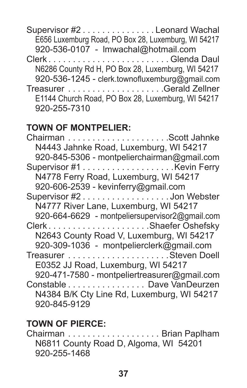Supervisor #2 . . . . . . . . . . . . . . Leonard Wachal E656 Luxemburg Road, PO Box 28, Luxemburg, WI 54217 920-536-0107 - lmwachal@hotmail.com Clerk . . . . . . . . . . . . . . . . . . . . . . . . Glenda Daul N6286 County Rd H, PO Box 28, Luxemburg, WI 54217 920-536-1245 - clerk.townofluxemburg@gmail.com Treasurer . . . . . . . . . . . . . . . . . . . Gerald Zellner E1144 Church Road, PO Box 28, Luxemburg, WI 54217 920-255-7310

#### **TOWN OF MONTPELIER:**

Chairman . . . . . . . . . . . . . . . . . . . . Scott Jahnke N4443 Jahnke Road, Luxemburg, WI 54217 920-845-5306 - montpelierchairman@gmail.com Supervisor #1 . . . . . . . . . . . . . . . . . . Kevin Ferry N4778 Ferry Road, Luxemburg, WI 54217 920-606-2539 - kevinferry@gmail.com Supervisor #2 . . . . . . . . . . . . . . . . . Jon Webster N4777 River Lane, Luxemburg, WI 54217 920-664-6629 - montpeliersupervisor2@gmail.com Clerk . . . . . . . . . . . . . . . . . . . . Shaefer Oshefsky N2643 County Road V, Luxemburg, WI 54217 920-309-1036 - montpelierclerk@gmail.com Treasurer . . . . . . . . . . . . . . . . . . . . Steven Doell E0352 JJ Road, Luxemburg, WI 54217 920-471-7580 - montpeliertreasurer@gmail.com Constable . . . . . . . . . . . . . . . . Dave VanDeurzen N4384 B/K Cty Line Rd, Luxemburg, WI 54217 920-845-9129

### **TOWN OF PIERCE:**

Chairman . . . . . . . . . . . . . . . . . . . Brian Paplham N6811 County Road D, Algoma, WI 54201 920-255-1468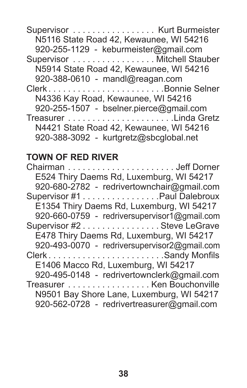# **TOWN OF RED RIVER**

| E524 Thiry Daems Rd, Luxemburg, WI 54217     |
|----------------------------------------------|
| 920-680-2782 - redrivertownchair@gmail.com   |
| Supervisor #1 Paul Dalebroux                 |
| E1354 Thiry Daems Rd, Luxemburg, WI 54217    |
| 920-660-0759 - redriversupervisor1@gmail.com |
| Supervisor #2 Steve LeGrave                  |
| E478 Thiry Daems Rd, Luxemburg, WI 54217     |
| 920-493-0070 - redriversupervisor2@gmail.com |
|                                              |
| E1406 Macco Rd, Luxemburg, WI 54217          |
| 920-495-0148 - redrivertownclerk@gmail.com   |
| Treasurer Ken Bouchonville                   |
| N9501 Bay Shore Lane, Luxemburg, WI 54217    |
| 920-562-0728 - redrivertreasurer@gmail.com   |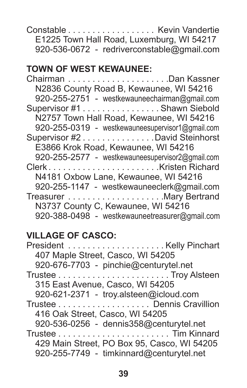Constable . . . . . . . . . . . . . . . . . . Kevin Vandertie E1225 Town Hall Road, Luxemburg, WI 54217 920-536-0672 - redriverconstable@gmail.com

#### **TOWN OF WEST KEWAUNEE:**

Chairman . . . . . . . . . . . . . . . . . . . . Dan Kassner N2836 County Road B, Kewaunee, WI 54216 920-255-2751 - westkewauneechairman@gmail.com Supervisor #1 . . . . . . . . . . . . . . . Shawn Siebold N2757 Town Hall Road, Kewaunee, WI 54216 920-255-0319 - westkewauneesupervisor1@gmail.com Supervisor #2 . . . . . . . . . . . . . . David Steinhorst E3866 Krok Road, Kewaunee, WI 54216 920-255-2577 - westkewauneesupervisor2@gmail.com Clerk . . . . . . . . . . . . . . . . . . . . . . Kristen Richard N4181 Oxbow Lane, Kewaunee, WI 54216 920-255-1147 - westkewauneeclerk@gmail.com Treasurer . . . . . . . . . . . . . . . . . . . Mary Bertrand N3737 County C, Kewaunee, WI 54216 920-388-0498 - westkewauneetreasurer@gmail.com

## **VILLAGE OF CASCO:**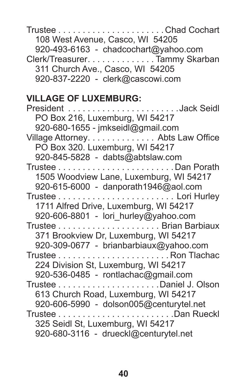Trustee . . . . . . . . . . . . . . . . . . . . . Chad Cochart 108 West Avenue, Casco, WI 54205 920-493-6163 - chadcochart@yahoo.com Clerk/Treasurer. . . . . . . . . . . . . . Tammy Skarban 311 Church Ave., Casco, WI 54205 920-837-2220 - clerk@cascowi.com

#### **VILLAGE OF LUXEMBURG:**

| PO Box 216, Luxemburg, WI 54217         |
|-----------------------------------------|
| 920-680-1655 - jmkseidl@gmail.com       |
| Village Attorney. Abts Law Office       |
| PO Box 320. Luxemburg, WI 54217         |
| 920-845-5828 - dabts@abtslaw.com        |
|                                         |
| 1505 Woodview Lane, Luxemburg, WI 54217 |
| 920-615-6000 - danporath1946@aol.com    |
|                                         |
| 1711 Alfred Drive, Luxemburg, WI 54217  |
|                                         |
| 920-606-8801 - lori hurley@yahoo.com    |
|                                         |
| 371 Brookview Dr, Luxemburg, WI 54217   |
| 920-309-0677 - brianbarbiaux@yahoo.com  |
|                                         |
| 224 Division St, Luxemburg, WI 54217    |
| 920-536-0485 - rontlachac@gmail.com     |
|                                         |
| 613 Church Road, Luxemburg, WI 54217    |
| 920-606-5990 - dolson005@centurytel.net |
|                                         |
| 325 Seidl St, Luxemburg, WI 54217       |
| 920-680-3116 - drueckl@centurytel.net   |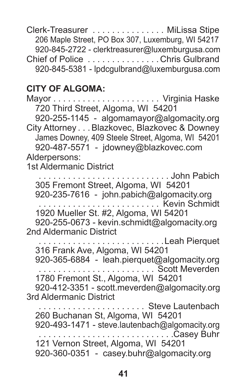Clerk-Treasurer . . . . . . . . . . . . . . . MiLissa Stipe 206 Maple Street, PO Box 307, Luxemburg, WI 54217 920-845-2722 - clerktreasurer@luxemburgusa.com Chief of Police . . . . . . . . . . . . . . Chris Gulbrand 920-845-5381 - lpdcgulbrand@luxemburgusa.com

#### **CITY OF ALGOMA:**

Mayor......................... Virginia Haske 720 Third Street, Algoma, WI 54201 920-255-1145 - algomamayor@algomacity.org City Attorney . . Blazkovec, Blazkovec & Downey James Downey, 409 Steele Street, Algoma, WI 54201 920-487-5571 - jdowney@blazkovec.com Alderpersons: 1st Aldermanic District . . . . John Pabich 305 Fremont Street, Algoma, WI 54201 920-235-7616 - john.pabich@algomacity.org . . . . . . . . . . . . . . . . . . . . . . . . . Kevin Schmidt 1920 Mueller St. #2, Algoma, WI 54201 920-255-0673 - kevin.schmidt@algomacity.org 2nd Aldermanic District . . . . . . . . . . . . . . . . . . Leah Pierquet 316 Frank Ave, Algoma, WI 54201 920-365-6884 - leah.pierquet@algomacity.org . . . . . . . . . . . . . . . . . . . . . . . . Scott Meverden 1780 Fremont St., Algoma, WI 54201 920-412-3351 - scott.meverden@algomacity.org 3rd Aldermanic District . . . . . . . . . . . . Steve Lautenbach 260 Buchanan St, Algoma, WI 54201 920-493-1471 - steve.lautenbach@algomacity.org . . . . . . . . . . . . . . . . . . . . . . . . . . . Casey Buhr 121 Vernon Street, Algoma, WI 54201 920-360-0351 - casey.buhr@algomacity.org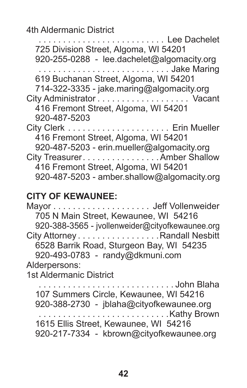4th Aldermanic District

| Lee Dachelet<br>725 Division Street, Algoma, WI 54201<br>920-255-0288 - lee.dachelet@algomacity.org<br>Jake Maring                                                                                   |
|------------------------------------------------------------------------------------------------------------------------------------------------------------------------------------------------------|
| 619 Buchanan Street, Algoma, WI 54201<br>714-322-3335 - jake.maring@algomacity.org                                                                                                                   |
| City Administrator Vacant<br>416 Fremont Street, Algoma, WI 54201<br>920-487-5203                                                                                                                    |
| 416 Fremont Street, Algoma, WI 54201                                                                                                                                                                 |
| 920-487-5203 - erin.mueller@algomacity.org<br>City Treasurer. Amber Shallow<br>416 Fremont Street, Algoma, WI 54201<br>920-487-5203 - amber.shallow@algomacity.org                                   |
| <b>CITY OF KEWAUNEE:</b><br>705 N Main Street, Kewaunee, WI 54216<br>920-388-3565 - jvollenweider@cityofkewaunee.org                                                                                 |
| City Attorney Randall Nesbitt                                                                                                                                                                        |
| 6528 Barrik Road, Sturgeon Bay, WI 54235<br>920-493-0783 - randy@dkmuni.com                                                                                                                          |
| Alderpersons:<br>1st Aldermanic District                                                                                                                                                             |
| John Blaha<br>107 Summers Circle, Kewaunee, WI 54216<br>920-388-2730 - jblaha@cityofkewaunee.org<br>Kathy Brown<br>1615 Ellis Street, Kewaunee, WI 54216<br>920-217-7334 - kbrown@cityofkewaunee.org |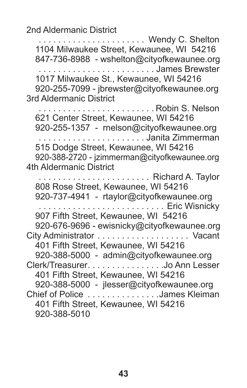2nd Aldermanic District

 . . . . . . . . . . . . . . . . . . . . . . Wendy C. Shelton 1104 Milwaukee Street, Kewaunee, WI 54216 847-736-8988 - wshelton@cityofkewaunee.org . . . . . . . . . . . . . . . . . . . . . . . . James Brewster 1017 Milwaukee St., Kewaunee, WI 54216 920-255-7099 - jbrewster@cityofkewaunee.org 3rd Aldermanic District . . . . . . . . . . . . . . . . . . . . . . . Robin S. Nelson 621 Center Street, Kewaunee, WI 54216 920-255-1357 - rnelson@cityofkewaunee.org . . . . . . . . . . . . . . . . . . . . . . Janita Zimmerman 515 Dodge Street, Kewaunee, WI 54216 920-388-2720 - jzimmerman@cityofkewaunee.org 4th Aldermanic District . . . . . . . . . . . . . . . . . . . . . . . Richard A. Taylor 808 Rose Street, Kewaunee, WI 54216 920-737-4941 - rtaylor@cityofkewaunee.org . . . . . . . . . . . . . . . . . . . . . . . . . . Eric Wisnicky 907 Fifth Street, Kewaunee, WI 54216 920-676-9696 - ewisnicky@cityofkewaunee.org City Administrator . . . . . . . . . . . . . . . . . . . Vacant 401 Fifth Street, Kewaunee, WI 54216 920-388-5000 - admin@cityofkewaunee.org Clerk/Treasurer . . . . . . . . . . . . . . . Jo Ann Lesser 401 Fifth Street, Kewaunee, WI 54216 920-388-5000 - jlesser@cityofkewaunee.org Chief of Police . . . . . . . . . . . . . . James Kleiman 401 Fifth Street, Kewaunee, WI 54216 920-388-5010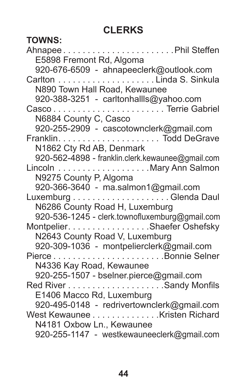# **CLERKS**

| <b>TOWNS:</b>                                                               |
|-----------------------------------------------------------------------------|
| AhnapeePhil Steffen                                                         |
| E5898 Fremont Rd, Algoma                                                    |
| 920-676-6509 - ahnapeeclerk@outlook.com                                     |
|                                                                             |
| N890 Town Hall Road, Kewaunee                                               |
| 920-388-3251 - carltonhallls@yahoo.com                                      |
|                                                                             |
| N6884 County C, Casco                                                       |
| 920-255-2909 - cascotownclerk@gmail.com                                     |
|                                                                             |
| N1862 Cty Rd AB, Denmark                                                    |
| 920-562-4898 - franklin.clerk.kewaunee@gmail.com                            |
| Lincoln Mary Ann Salmon                                                     |
| N9275 County P, Algoma                                                      |
| 920-366-3640 - ma.salmon1@gmail.com                                         |
|                                                                             |
| N6286 County Road H, Luxemburg                                              |
| 920-536-1245 - clerk.townofluxemburg@gmail.com                              |
| Montpelier. Shaefer Oshefsky                                                |
| N2643 County Road V, Luxemburg                                              |
| 920-309-1036 - montpelierclerk@gmail.com                                    |
|                                                                             |
| N4336 Kay Road, Kewaunee                                                    |
| 920-255-1507 - bselner.pierce@gmail.com                                     |
|                                                                             |
| E1406 Macco Rd, Luxemburg                                                   |
| 920-495-0148 - redrivertownclerk@gmail.com<br>West Kewaunee Kristen Richard |
| N4181 Oxbow Ln., Kewaunee                                                   |
| 920-255-1147 - westkewauneeclerk@gmail.com                                  |
|                                                                             |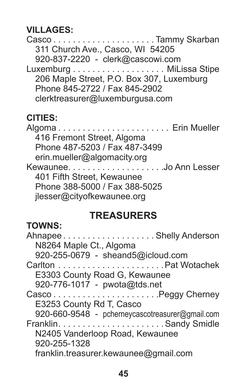#### **VILLAGES:**

Casco . . . . . . . . . . . . . . . . . . . . Tammy Skarban 311 Church Ave., Casco, WI 54205 920-837-2220 - clerk@cascowi.com Luxemburg....................... MiLissa Stipe 206 Maple Street, P.O. Box 307, Luxemburg Phone 845-2722 / Fax 845-2902 clerktreasurer@luxemburgusa.com

## **CITIES:**

Algoma . . . . . . . . . . . . . . . . . . . . . . . Erin Mueller 416 Fremont Street, Algoma Phone 487-5203 / Fax 487-3499 erin.mueller@algomacity.org Kewaunee . . . . . . . . . . . . . . . . . . . Jo Ann Lesser 401 Fifth Street, Kewaunee Phone 388-5000 / Fax 388-5025 jlesser@cityofkewaunee.org

## **TREASURERS**

### **TOWNS:**

| AhnapeeShelly Anderson                          |  |
|-------------------------------------------------|--|
| N8264 Maple Ct., Algoma                         |  |
| 920-255-0679 - sheand5@icloud.com               |  |
|                                                 |  |
| E3303 County Road G, Kewaunee                   |  |
| 920-776-1017 - pwota@tds.net                    |  |
|                                                 |  |
| E3253 County Rd T, Casco                        |  |
| 920-660-9548 - pcherneycascotreasurer@gmail.com |  |
|                                                 |  |
| N2405 Vanderloop Road, Kewaunee                 |  |
| 920-255-1328                                    |  |
| franklin.treasurer.kewaunee@gmail.com           |  |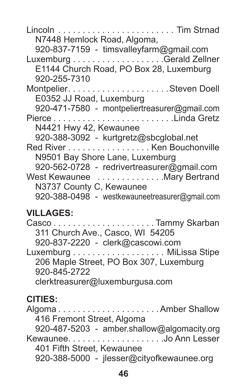Lincoln . . . . . . . . . . . . . . . . . . . . . . . . Tim Strnad N7448 Hemlock Road, Algoma, 920-837-7159 - timsvalleyfarm@gmail.com Luxemburg........................Gerald Zellner E1144 Church Road, PO Box 28, Luxemburg 920-255-7310 Montpelier . . . . . . . . . . . . . . . . . . . . Steven Doell E0352 JJ Road, Luxemburg 920-471-7580 - montpeliertreasurer@gmail.com Pierce . . . . . . . . . . . . . . . . . . . . . . . . Linda Gretz N4421 Hwy 42, Kewaunee 920-388-3092 - kurtgretz@sbcglobal.net Red River.................... Ken Bouchonville N9501 Bay Shore Lane, Luxemburg 920-562-0728 - redrivertreasurer@gmail.com West Kewaunee . . . . . . . . . . . . . Mary Bertrand N3737 County C, Kewaunee 920-388-0498 - westkewauneetreasurer@gmail.com

### **VILLAGES:**

Casco . . . . . . . . . . . . . . . . . . . . Tammy Skarban 311 Church Ave., Casco, WI 54205 920-837-2220 - clerk@cascowi.com Luxemburg....................... MiLissa Stipe 206 Maple Street, PO Box 307, Luxemburg 920-845-2722 clerktreasurer@luxemburgusa.com

## **CITIES:**

Algoma . . . . . . . . . . . . . . . . . . . . Amber Shallow 416 Fremont Street, Algoma 920-487-5203 - amber.shallow@algomacity.org Kewaunee . . . . . . . . . . . . . . . . . . . Jo Ann Lesser 401 Fifth Street, Kewaunee 920-388-5000 - jlesser@cityofkewaunee.org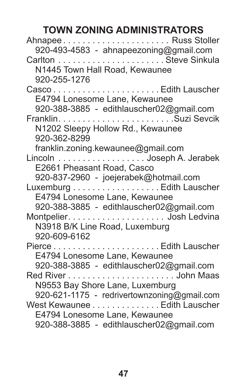# **TOWN ZONING ADMINISTRATORS**

| AhnapeeRuss Stoller                         |
|---------------------------------------------|
| 920-493-4583 - ahnapeezoning@gmail.com      |
|                                             |
| N1445 Town Hall Road, Kewaunee              |
| 920-255-1276                                |
|                                             |
| E4794 Lonesome Lane, Kewaunee               |
| 920-388-3885 - edithlauscher02@gmail.com    |
|                                             |
| N1202 Sleepy Hollow Rd., Kewaunee           |
| 920-362-8299                                |
| franklin.zoning.kewaunee@gmail.com          |
| Lincoln Joseph A. Jerabek                   |
| E2661 Pheasant Road, Casco                  |
| 920-837-2960 - joejerabek@hotmail.com       |
| Luxemburg Edith Lauscher                    |
| E4794 Lonesome Lane, Kewaunee               |
| 920-388-3885 - edithlauscher02@gmail.com    |
|                                             |
| N3918 B/K Line Road, Luxemburg              |
| 920-609-6162                                |
|                                             |
| E4794 Lonesome Lane, Kewaunee               |
| 920-388-3885 - edithlauscher02@gmail.com    |
|                                             |
| N9553 Bay Shore Lane, Luxemburg             |
| 920-621-1175 - redrivertownzoning@gmail.com |
| West Kewaunee Edith Lauscher                |
| E4794 Lonesome Lane, Kewaunee               |
| 920-388-3885 - edithlauscher02@gmail.com    |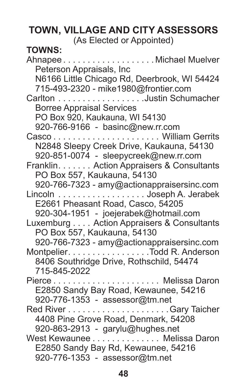# **TOWN, VILLAGE AND CITY ASSESSORS**

(As Elected or Appointed)

# **TOWNS:**

Ahnapee . . . . . . . . . . . . . . . . . . Michael Muelver Peterson Appraisals, Inc N6166 Little Chicago Rd, Deerbrook, WI 54424 715-493-2320 - mike1980@frontier.com Carlton . . . . . . . . . . . . . . . . . Justin Schumacher Borree Appraisal Services PO Box 920, Kaukauna, WI 54130 920-766-9166 - basinc@new.rr.com Casco . . . . . . . . . . . . . . . . . . . . . . William Gerrits N2848 Sleepy Creek Drive, Kaukauna, 54130 920-851-0074 - sleepycreek@new.rr.com Franklin . . . . . . . Action Appraisers & Consultants PO Box 557, Kaukauna, 54130 920-766-7323 - amy@actionappraisersinc.com Lincoln . . . . . . . . . . . . . . . . . . Joseph A. Jerabek E2661 Pheasant Road, Casco, 54205 920-304-1951 - joejerabek@hotmail.com Luxemburg.... Action Appraisers & Consultants PO Box 557, Kaukauna, 54130 920-766-7323 - amy@actionappraisersinc.com Montpelier . . . . . . . . . . . . . . . . . . Todd R. Anderson 8406 Southridge Drive, Rothschild, 54474 715-845-2022 Pierce . . . . . . . . . . . . . . . . . . . . . . Melissa Daron E2850 Sandy Bay Road, Kewaunee, 54216 920-776-1353 - assessor@tm.net Red River......................Gary Taicher 4408 Pine Grove Road, Denmark, 54208 920-863-2913 - garylu@hughes.net West Kewaunee . . . . . . . . . . . . . Melissa Daron E2850 Sandy Bay Rd, Kewaunee, 54216 920-776-1353 - assessor@tm.net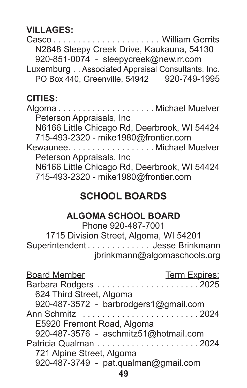**VILLAGES:**

Casco . . . . . . . . . . . . . . . . . . . . . . William Gerrits N2848 Sleepy Creek Drive, Kaukauna, 54130 920-851-0074 - sleepycreek@new.rr.com Luxemburg.. Associated Appraisal Consultants, Inc. PO Box 440, Greenville, 54942 920-749-1995

#### **CITIES:**

Algoma . . . . . . . . . . . . . . . . . . . Michael Muelver Peterson Appraisals, Inc N6166 Little Chicago Rd, Deerbrook, WI 54424 715-493-2320 - mike1980@frontier.com Kewaunee . . . . . . . . . . . . . . . . . Michael Muelver Peterson Appraisals, Inc N6166 Little Chicago Rd, Deerbrook, WI 54424 715-493-2320 - mike1980@frontier.com

# **SCHOOL BOARDS**

#### **ALGOMA SCHOOL BOARD**

Phone 920-487-7001 1715 Division Street, Algoma, WI 54201 Superintendent . . . . . . . . . . . . . Jesse Brinkmann jbrinkmann@algomaschools.org

| <b>Board Member</b>                   | Term Expires: |
|---------------------------------------|---------------|
|                                       |               |
| 624 Third Street, Algoma              |               |
| 920-487-3572 - barbrodgers1@gmail.com |               |
|                                       |               |
| E5920 Fremont Road, Algoma            |               |
| 920-487-3576 - aschmitz51@hotmail.com |               |
|                                       |               |
| 721 Alpine Street, Algoma             |               |
| 920-487-3749 - pat.qualman@gmail.com  |               |
| 49                                    |               |
|                                       |               |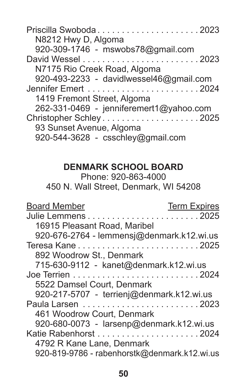| N8212 Hwy D, Algoma                     |
|-----------------------------------------|
| 920-309-1746 - mswobs78@gmail.com       |
|                                         |
| N7175 Rio Creek Road, Algoma            |
| 920-493-2233 - davidlwessel46@gmail.com |
|                                         |
| 1419 Fremont Street, Algoma             |
| 262-331-0469 - jenniferemert1@yahoo.com |
| Christopher Schley2025                  |
| 93 Sunset Avenue, Algoma                |
| 920-544-3628 - csschley@gmail.com       |

## **DENMARK SCHOOL BOARD**

Phone: 920-863-4000 450 N. Wall Street, Denmark, WI 54208

| <b>Board Member</b>                       | <b>Term Expires</b>                          |
|-------------------------------------------|----------------------------------------------|
|                                           |                                              |
| 16915 Pleasant Road, Maribel              |                                              |
|                                           | 920-676-2764 - lemmensj@denmark.k12.wi.us    |
|                                           |                                              |
| 892 Woodrow St., Denmark                  |                                              |
| 715-630-9112 - kanet@denmark.k12.wi.us    |                                              |
|                                           |                                              |
| 5522 Damsel Court. Denmark                |                                              |
| 920-217-5707 - terrienj@denmark.k12.wi.us |                                              |
|                                           |                                              |
| 461 Woodrow Court, Denmark                |                                              |
| 920-680-0073 - larsenp@denmark.k12.wi.us  |                                              |
|                                           |                                              |
| 4792 R Kane Lane, Denmark                 |                                              |
|                                           | 920-819-9786 - rabenhorstk@denmark.k12.wi.us |
|                                           |                                              |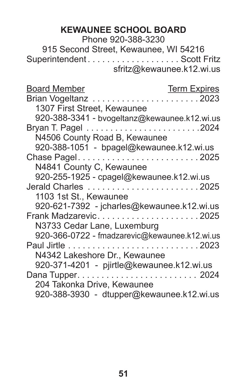## **KEWAUNEE SCHOOL BOARD**

Phone 920-388-3230

915 Second Street, Kewaunee, WI 54216 Superintendent . . . . . . . . . . . . . . . . . . . Scott Fritz sfritz@kewaunee.k12.wi.us

| Board Member                              | <b>Term Expires</b>                           |
|-------------------------------------------|-----------------------------------------------|
| Brian Vogeltanz 2023                      |                                               |
| 1307 First Street, Kewaunee               |                                               |
|                                           | 920-388-3341 - bvogeltanz@kewaunee.k12.wi.us  |
|                                           |                                               |
| N4506 County Road B, Kewaunee             |                                               |
| 920-388-1051 - bpagel@kewaunee.k12.wi.us  |                                               |
| Chase Pagel2025                           |                                               |
| N4841 County C, Kewaunee                  |                                               |
| 920-255-1925 - cpagel@kewaunee.k12.wi.us  |                                               |
| Jerald Charles 2025                       |                                               |
| 1103 1st St., Kewaunee                    |                                               |
|                                           | 920-621-7392 - jcharles@kewaunee.k12.wi.us    |
| Frank Madzarevic2025                      |                                               |
| N3733 Cedar Lane, Luxemburg               |                                               |
|                                           | 920-366-0722 - fmadzarevic@kewaunee.k12.wi.us |
|                                           |                                               |
| N4342 Lakeshore Dr., Kewaunee             |                                               |
| 920-371-4201 - pjirtle@kewaunee.k12.wi.us |                                               |
|                                           |                                               |
| 204 Takonka Drive, Kewaunee               |                                               |
|                                           | 920-388-3930 - dtupper@kewaunee.k12.wi.us     |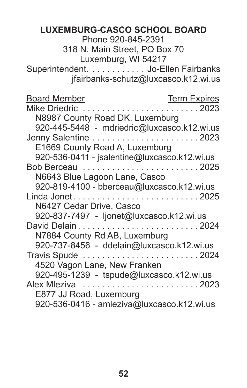### **LUXEMBURG-CASCO SCHOOL BOARD**

Phone 920-845-2391

318 N. Main Street, PO Box 70 Luxemburg, WI 54217

Superintendent. . . . . . . . . . . . Jo-Ellen Fairbanks jfairbanks-schutz@luxcasco.k12.wi.us

| <b>Board Member</b>                          | <b>Term Expires</b> |
|----------------------------------------------|---------------------|
| Mike Driedric                                | . 2023              |
| N8987 County Road DK, Luxemburg              |                     |
| 920-445-5448 - mdriedric@luxcasco.k12.wi.us  |                     |
|                                              |                     |
| E1669 County Road A, Luxemburg               |                     |
| 920-536-0411 - jsalentine@luxcasco.k12.wi.us |                     |
| Bob Berceau 2025                             |                     |
| N6643 Blue Lagoon Lane, Casco                |                     |
| 920-819-4100 - bberceau@luxcasco.k12.wi.us   |                     |
|                                              |                     |
| N6427 Cedar Drive, Casco                     |                     |
| 920-837-7497 - ljonet@luxcasco.k12.wi.us     |                     |
|                                              |                     |
| N7884 County Rd AB, Luxemburg                |                     |
| 920-737-8456 - ddelain@luxcasco.k12.wi.us    |                     |
|                                              |                     |
| 4520 Vagon Lane, New Franken                 |                     |
| 920-495-1239 - tspude@luxcasco.k12.wi.us     |                     |
| Alex Mleziva 2023                            |                     |
| E877 JJ Road, Luxemburg                      |                     |
| 920-536-0416 - amleziva@luxcasco.k12.wi.us   |                     |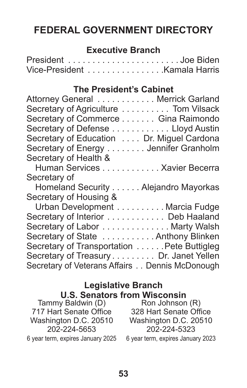# **FEDERAL GOVERNMENT DIRECTORY**

#### **Executive Branch**

| President Joe Biden          |  |  |  |  |  |  |  |  |  |  |  |  |  |
|------------------------------|--|--|--|--|--|--|--|--|--|--|--|--|--|
| Vice-President Kamala Harris |  |  |  |  |  |  |  |  |  |  |  |  |  |

#### **The President's Cabinet**

| Attorney General Merrick Garland               |
|------------------------------------------------|
| Secretary of Agriculture Tom Vilsack           |
| Secretary of Commerce Gina Raimondo            |
| Secretary of Defense Lloyd Austin              |
| Secretary of Education Dr. Miguel Cardona      |
| Secretary of Energy Jennifer Granholm          |
| Secretary of Health &                          |
| Human Services Xavier Becerra                  |
| Secretary of                                   |
| Homeland Security Alejandro Mayorkas           |
| Secretary of Housing &                         |
| Urban Development Marcia Fudge                 |
| Secretary of Interior Deb Haaland              |
| Secretary of Labor Marty Walsh                 |
| Secretary of State  Anthony Blinken            |
| Secretary of Transportation Pete Buttigleg     |
| Secretary of Treasury Dr. Janet Yellen         |
| Secretary of Veterans Affairs Dennis McDonough |

#### **Legislative Branch U.S. Senators from Wisconsin**

| 0.9. 99. 19. 19. 1                |
|-----------------------------------|
| Tammy Baldwin (D)                 |
| 717 Hart Senate Office            |
| Washington D.C. 20510             |
| 202-224-5653                      |
| 6 year term, expires January 2025 |

Ron Johnson (R) 328 Hart Senate Office Washington D.C. 20510 202-224-5323

6 year term, expires January 2023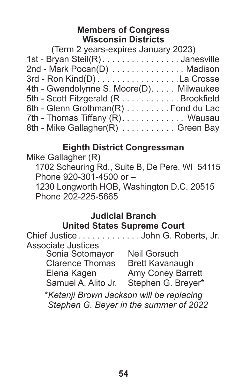#### **Members of Congress Wisconsin Districts**

| 1st - Bryan Steil(R) Janesville          |
|------------------------------------------|
| 2nd - Mark Pocan(D) Madison              |
| 3rd - Ron Kind(D) La Crosse              |
| 4th - Gwendolynne S. Moore(D). Milwaukee |
| 5th - Scott Fitzgerald (R Brookfield     |
| 6th - Glenn Grothman(R) Fond du Lac      |
| 7th - Thomas Tiffany (R). Wausau         |
| 8th - Mike Gallagher(R) Green Bay        |
|                                          |

#### **Eighth District Congressman**

Mike Gallagher (R) 1702 Scheuring Rd., Suite B, De Pere, WI 54115 Phone 920-301-4500 or – 1230 Longworth HOB, Washington D.C. 20515 Phone 202-225-5665

#### **Judicial Branch United States Supreme Court**

Chief Justice . . . . . . . . . . . . John G. Roberts, Jr. Associate Justices Sonia Sotomayor Clarence Thomas Elena Kagen Samuel A. Alito Jr. Stephen G. Breyer\* Neil Gorsuch Brett Kavanaugh Amy Coney Barrett \**Ketanji Brown Jackson will be replacing Stephen G. Beyer in the summer of 2022*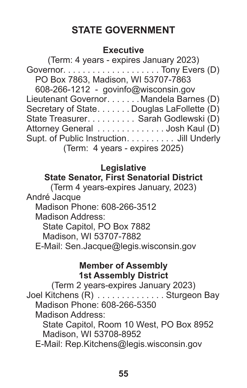# **STATE GOVERNMENT**

#### **Executive**

(Term: 4 years - expires January 2023) Governor . . . . . . . . . . . . . . . . . . . . Tony Evers (D) PO Box 7863, Madison, WI 53707-7863 608-266-1212 - govinfo@wisconsin.gov Lieutenant Governor . . . . . . Mandela Barnes (D) Secretary of State. . . . . . . Douglas LaFollette (D) State Treasurer. . . . . . . . . . Sarah Godlewski (D) Attorney General . . . . . . . . . . . . . . Josh Kaul (D) Supt. of Public Instruction . . . . . . . . . . Jill Underly (Term: 4 years - expires 2025)

## **Legislative**

#### **State Senator, First Senatorial District**

(Term 4 years-expires January, 2023) André Jacque

Madison Phone: 608-266-3512

Madison Address:

State Capitol, PO Box 7882

Madison, WI 53707-7882

E-Mail: Sen.Jacque@legis.wisconsin.gov

#### **Member of Assembly 1st Assembly District**

(Term 2 years-expires January 2023) Joel Kitchens (R) . . . . . . . . . . . . . . Sturgeon Bay Madison Phone: 608-266-5350 Madison Address: State Capitol, Room 10 West, PO Box 8952 Madison, WI 53708-8952

E-Mail: Rep.Kitchens@legis.wisconsin.gov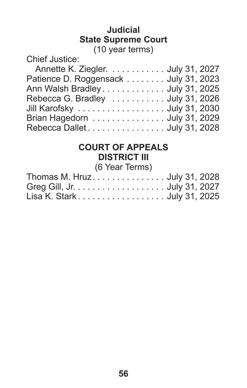#### **Judicial State Supreme Court** (10 year terms)

Chief Justice:

| Annette K. Ziegler. July 31, 2027                       |  |
|---------------------------------------------------------|--|
| Patience D. Roggensack July 31, 2023                    |  |
| Ann Walsh Bradley July 31, 2025                         |  |
| Rebecca G. Bradley $\ldots \ldots \ldots$ July 31, 2026 |  |
| Jill Karofsky  July 31, 2030                            |  |
| Brian Hagedorn  July 31, 2029                           |  |
|                                                         |  |

# **COURT OF APPEALS DISTRICT III**

(6 Year Terms)

| Thomas M. Hruz July 31, 2028 |  |
|------------------------------|--|
| Greg Gill, Jr. July 31, 2027 |  |
| Lisa K. Stark July 31, 2025  |  |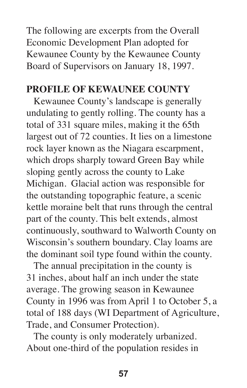The following are excerpts from the Overall Economic Development Plan adopted for Kewaunee County by the Kewaunee County Board of Supervisors on January 18, 1997.

### **PROFILE OF KEWAUNEE COUNTY**

 Kewaunee County's landscape is generally undulating to gently rolling. The county has a total of 331 square miles, making it the 65th largest out of 72 counties. It lies on a limestone rock layer known as the Niagara escarpment, which drops sharply toward Green Bay while sloping gently across the county to Lake Michigan. Glacial action was responsible for the outstanding topographic feature, a scenic kettle moraine belt that runs through the central part of the county. This belt extends, almost continuously, southward to Walworth County on Wisconsin's southern boundary. Clay loams are the dominant soil type found within the county.

 The annual precipitation in the county is 31 inches, about half an inch under the state average. The growing season in Kewaunee County in 1996 was from April 1 to October 5, a total of 188 days (WI Department of Agriculture, Trade, and Consumer Protection).

 The county is only moderately urbanized. About one-third of the population resides in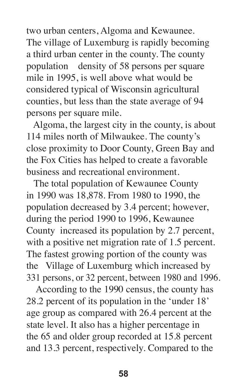two urban centers, Algoma and Kewaunee. The village of Luxemburg is rapidly becoming a third urban center in the county. The county population density of 58 persons per square mile in 1995, is well above what would be considered typical of Wisconsin agricultural counties, but less than the state average of 94 persons per square mile.

 Algoma, the largest city in the county, is about 114 miles north of Milwaukee. The county's close proximity to Door County, Green Bay and the Fox Cities has helped to create a favorable business and recreational environment.

 The total population of Kewaunee County in 1990 was 18,878. From 1980 to 1990, the population decreased by 3.4 percent; however, during the period 1990 to 1996, Kewaunee County increased its population by 2.7 percent, with a positive net migration rate of 1.5 percent. The fastest growing portion of the county was the Village of Luxemburg which increased by 331 persons, or 32 percent, between 1980 and 1996.

 According to the 1990 census, the county has 28.2 percent of its population in the 'under 18' age group as compared with 26.4 percent at the state level. It also has a higher percentage in the 65 and older group recorded at 15.8 percent and 13.3 percent, respectively. Compared to the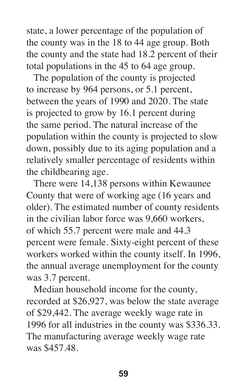state, a lower percentage of the population of the county was in the 18 to 44 age group. Both the county and the state had 18.2 percent of their total populations in the 45 to 64 age group.

 The population of the county is projected to increase by 964 persons, or 5.1 percent, between the years of 1990 and 2020. The state is projected to grow by 16.1 percent during the same period. The natural increase of the population within the county is projected to slow down, possibly due to its aging population and a relatively smaller percentage of residents within the childbearing age.

 There were 14,138 persons within Kewaunee County that were of working age (16 years and older). The estimated number of county residents in the civilian labor force was 9,660 workers, of which 55.7 percent were male and 44.3 percent were female. Sixty-eight percent of these workers worked within the county itself. In 1996, the annual average unemployment for the county was 3.7 percent.

 Median household income for the county, recorded at \$26,927, was below the state average of \$29,442. The average weekly wage rate in 1996 for all industries in the county was \$336.33. The manufacturing average weekly wage rate was \$457.48.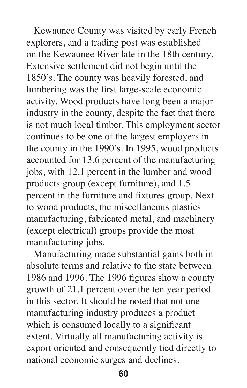Kewaunee County was visited by early French explorers, and a trading post was established on the Kewaunee River late in the 18th century. Extensive settlement did not begin until the 1850's. The county was heavily forested, and lumbering was the first large-scale economic activity. Wood products have long been a major industry in the county, despite the fact that there is not much local timber. This employment sector continues to be one of the largest employers in the county in the 1990's. In 1995, wood products accounted for 13.6 percent of the manufacturing jobs, with 12.1 percent in the lumber and wood products group (except furniture), and 1.5 percent in the furniture and fixtures group. Next to wood products, the miscellaneous plastics manufacturing, fabricated metal, and machinery (except electrical) groups provide the most manufacturing jobs.

 Manufacturing made substantial gains both in absolute terms and relative to the state between 1986 and 1996. The 1996 figures show a county growth of 21.1 percent over the ten year period in this sector. It should be noted that not one manufacturing industry produces a product which is consumed locally to a significant extent. Virtually all manufacturing activity is export oriented and consequently tied directly to national economic surges and declines.

**60**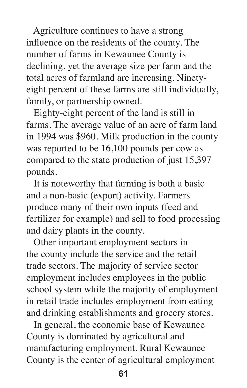Agriculture continues to have a strong influence on the residents of the county. The number of farms in Kewaunee County is declining, yet the average size per farm and the total acres of farmland are increasing. Ninetyeight percent of these farms are still individually, family, or partnership owned.

 Eighty-eight percent of the land is still in farms. The average value of an acre of farm land in 1994 was \$960. Milk production in the county was reported to be 16,100 pounds per cow as compared to the state production of just 15,397 pounds.

 It is noteworthy that farming is both a basic and a non-basic (export) activity. Farmers produce many of their own inputs (feed and fertilizer for example) and sell to food processing and dairy plants in the county.

 Other important employment sectors in the county include the service and the retail trade sectors. The majority of service sector employment includes employees in the public school system while the majority of employment in retail trade includes employment from eating and drinking establishments and grocery stores.

 In general, the economic base of Kewaunee County is dominated by agricultural and manufacturing employment. Rural Kewaunee County is the center of agricultural employment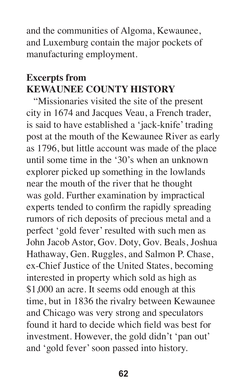and the communities of Algoma, Kewaunee, and Luxemburg contain the major pockets of manufacturing employment.

## **Excerpts from KEWAUNEE COUNTY HISTORY**

 "Missionaries visited the site of the present city in 1674 and Jacques Veau, a French trader, is said to have established a 'jack-knife' trading post at the mouth of the Kewaunee River as early as 1796, but little account was made of the place until some time in the '30's when an unknown explorer picked up something in the lowlands near the mouth of the river that he thought was gold. Further examination by impractical experts tended to confirm the rapidly spreading rumors of rich deposits of precious metal and a perfect 'gold fever' resulted with such men as John Jacob Astor, Gov. Doty, Gov. Beals, Joshua Hathaway, Gen. Ruggles, and Salmon P. Chase, ex-Chief Justice of the United States, becoming interested in property which sold as high as \$1,000 an acre. It seems odd enough at this time, but in 1836 the rivalry between Kewaunee and Chicago was very strong and speculators found it hard to decide which field was best for investment. However, the gold didn't 'pan out' and 'gold fever' soon passed into history.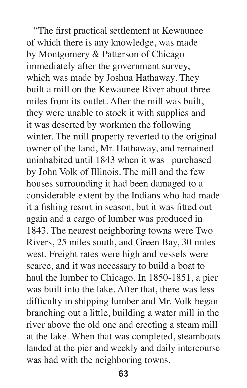"The first practical settlement at Kewaunee of which there is any knowledge, was made by Montgomery & Patterson of Chicago immediately after the government survey, which was made by Joshua Hathaway. They built a mill on the Kewaunee River about three miles from its outlet. After the mill was built, they were unable to stock it with supplies and it was deserted by workmen the following winter. The mill property reverted to the original owner of the land, Mr. Hathaway, and remained uninhabited until 1843 when it was purchased by John Volk of Illinois. The mill and the few houses surrounding it had been damaged to a considerable extent by the Indians who had made it a fishing resort in season, but it was fitted out again and a cargo of lumber was produced in 1843. The nearest neighboring towns were Two Rivers, 25 miles south, and Green Bay, 30 miles west. Freight rates were high and vessels were scarce, and it was necessary to build a boat to haul the lumber to Chicago. In 1850-1851, a pier was built into the lake. After that, there was less difficulty in shipping lumber and Mr. Volk began branching out a little, building a water mill in the river above the old one and erecting a steam mill at the lake. When that was completed, steamboats landed at the pier and weekly and daily intercourse was had with the neighboring towns.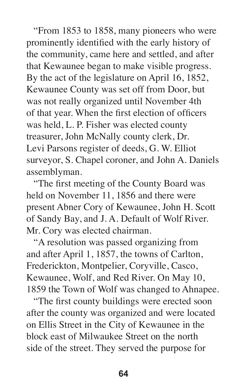"From 1853 to 1858, many pioneers who were prominently identified with the early history of the community, came here and settled, and after that Kewaunee began to make visible progress. By the act of the legislature on April 16, 1852, Kewaunee County was set off from Door, but was not really organized until November 4th of that year. When the first election of officers was held, L. P. Fisher was elected county treasurer, John McNally county clerk, Dr. Levi Parsons register of deeds, G. W. Elliot surveyor, S. Chapel coroner, and John A. Daniels assemblyman.

 "The first meeting of the County Board was held on November 11, 1856 and there were present Abner Cory of Kewaunee, John H. Scott of Sandy Bay, and J. A. Default of Wolf River. Mr. Cory was elected chairman.

 "A resolution was passed organizing from and after April 1, 1857, the towns of Carlton, Frederickton, Montpelier, Coryville, Casco, Kewaunee, Wolf, and Red River. On May 10, 1859 the Town of Wolf was changed to Ahnapee.

 "The first county buildings were erected soon after the county was organized and were located on Ellis Street in the City of Kewaunee in the block east of Milwaukee Street on the north side of the street. They served the purpose for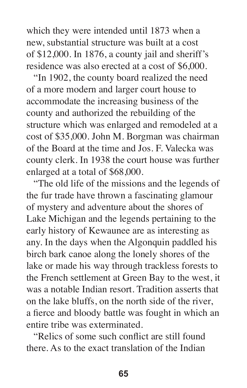which they were intended until 1873 when a new, substantial structure was built at a cost of \$12,000. In 1876, a county jail and sheriff's residence was also erected at a cost of \$6,000.

 "In 1902, the county board realized the need of a more modern and larger court house to accommodate the increasing business of the county and authorized the rebuilding of the structure which was enlarged and remodeled at a cost of \$35,000. John M. Borgman was chairman of the Board at the time and Jos. F. Valecka was county clerk. In 1938 the court house was further enlarged at a total of \$68,000.

 "The old life of the missions and the legends of the fur trade have thrown a fascinating glamour of mystery and adventure about the shores of Lake Michigan and the legends pertaining to the early history of Kewaunee are as interesting as any. In the days when the Algonquin paddled his birch bark canoe along the lonely shores of the lake or made his way through trackless forests to the French settlement at Green Bay to the west, it was a notable Indian resort. Tradition asserts that on the lake bluffs, on the north side of the river, a fierce and bloody battle was fought in which an entire tribe was exterminated.

 "Relics of some such conflict are still found there. As to the exact translation of the Indian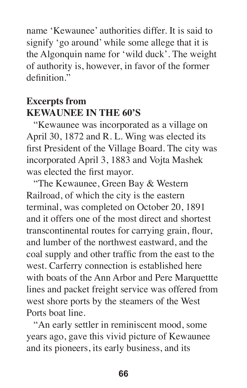name 'Kewaunee' authorities differ. It is said to signify 'go around' while some allege that it is the Algonquin name for 'wild duck'. The weight of authority is, however, in favor of the former definition."

## **Excerpts from KEWAUNEE IN THE 60'S**

 "Kewaunee was incorporated as a village on April 30, 1872 and R. L. Wing was elected its first President of the Village Board. The city was incorporated April 3, 1883 and Vojta Mashek was elected the first mayor.

 "The Kewaunee, Green Bay & Western Railroad, of which the city is the eastern terminal, was completed on October 20, 1891 and it offers one of the most direct and shortest transcontinental routes for carrying grain, flour, and lumber of the northwest eastward, and the coal supply and other traffic from the east to the west. Carferry connection is established here with boats of the Ann Arbor and Pere Marquettte lines and packet freight service was offered from west shore ports by the steamers of the West Ports boat line.

 "An early settler in reminiscent mood, some years ago, gave this vivid picture of Kewaunee and its pioneers, its early business, and its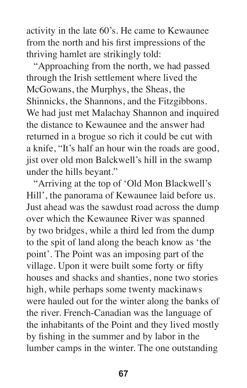activity in the late 60's. He came to Kewaunee from the north and his first impressions of the thriving hamlet are strikingly told:

 "Approaching from the north, we had passed through the Irish settlement where lived the McGowans, the Murphys, the Sheas, the Shinnicks, the Shannons, and the Fitzgibbons. We had just met Malachay Shannon and inquired the distance to Kewaunee and the answer had returned in a brogue so rich it could be cut with a knife, "It's half an hour win the roads are good, jist over old mon Balckwell's hill in the swamp under the hills beyant."

 "Arriving at the top of 'Old Mon Blackwell's Hill', the panorama of Kewaunee laid before us. Just ahead was the sawdust road across the dump over which the Kewaunee River was spanned by two bridges, while a third led from the dump to the spit of land along the beach know as 'the point'. The Point was an imposing part of the village. Upon it were built some forty or fifty houses and shacks and shanties, none two stories high, while perhaps some twenty mackinaws were hauled out for the winter along the banks of the river. French-Canadian was the language of the inhabitants of the Point and they lived mostly by fishing in the summer and by labor in the lumber camps in the winter. The one outstanding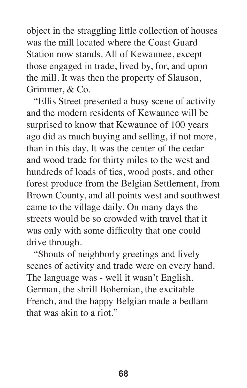object in the straggling little collection of houses was the mill located where the Coast Guard Station now stands. All of Kewaunee, except those engaged in trade, lived by, for, and upon the mill. It was then the property of Slauson, Grimmer, & Co.

 "Ellis Street presented a busy scene of activity and the modern residents of Kewaunee will be surprised to know that Kewaunee of 100 years ago did as much buying and selling, if not more, than in this day. It was the center of the cedar and wood trade for thirty miles to the west and hundreds of loads of ties, wood posts, and other forest produce from the Belgian Settlement, from Brown County, and all points west and southwest came to the village daily. On many days the streets would be so crowded with travel that it was only with some difficulty that one could drive through.

 "Shouts of neighborly greetings and lively scenes of activity and trade were on every hand. The language was - well it wasn't English. German, the shrill Bohemian, the excitable French, and the happy Belgian made a bedlam that was akin to a riot."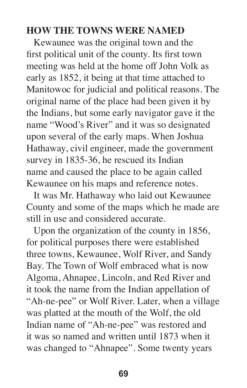## **HOW THE TOWNS WERE NAMED**

 Kewaunee was the original town and the first political unit of the county. Its first town meeting was held at the home off John Volk as early as 1852, it being at that time attached to Manitowoc for judicial and political reasons. The original name of the place had been given it by the Indians, but some early navigator gave it the name "Wood's River" and it was so designated upon several of the early maps. When Joshua Hathaway, civil engineer, made the government survey in 1835-36, he rescued its Indian name and caused the place to be again called Kewaunee on his maps and reference notes.

 It was Mr. Hathaway who laid out Kewaunee County and some of the maps which he made are still in use and considered accurate.

 Upon the organization of the county in 1856, for political purposes there were established three towns, Kewaunee, Wolf River, and Sandy Bay. The Town of Wolf embraced what is now Algoma, Ahnapee, Lincoln, and Red River and it took the name from the Indian appellation of "Ah-ne-pee" or Wolf River. Later, when a village was platted at the mouth of the Wolf, the old Indian name of "Ah-ne-pee" was restored and it was so named and written until 1873 when it was changed to "Ahnapee". Some twenty years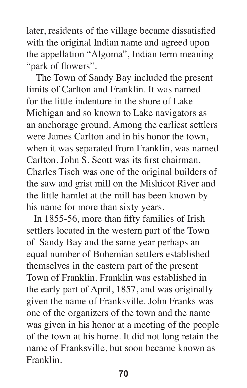later, residents of the village became dissatisfied with the original Indian name and agreed upon the appellation "Algoma", Indian term meaning "park of flowers".

 The Town of Sandy Bay included the present limits of Carlton and Franklin. It was named for the little indenture in the shore of Lake Michigan and so known to Lake navigators as an anchorage ground. Among the earliest settlers were James Carlton and in his honor the town, when it was separated from Franklin, was named Carlton. John S. Scott was its first chairman. Charles Tisch was one of the original builders of the saw and grist mill on the Mishicot River and the little hamlet at the mill has been known by his name for more than sixty years.

 In 1855-56, more than fifty families of Irish settlers located in the western part of the Town of Sandy Bay and the same year perhaps an equal number of Bohemian settlers established themselves in the eastern part of the present Town of Franklin. Franklin was established in the early part of April, 1857, and was originally given the name of Franksville. John Franks was one of the organizers of the town and the name was given in his honor at a meeting of the people of the town at his home. It did not long retain the name of Franksville, but soon became known as Franklin.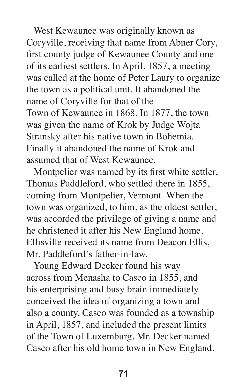West Kewaunee was originally known as Coryville, receiving that name from Abner Cory, first county judge of Kewaunee County and one of its earliest settlers. In April, 1857, a meeting was called at the home of Peter Laury to organize the town as a political unit. It abandoned the name of Coryville for that of the Town of Kewaunee in 1868. In 1877, the town was given the name of Krok by Judge Wojta Stransky after his native town in Bohemia. Finally it abandoned the name of Krok and assumed that of West Kewaunee.

 Montpelier was named by its first white settler, Thomas Paddleford, who settled there in 1855, coming from Montpelier, Vermont. When the town was organized, to him, as the oldest settler, was accorded the privilege of giving a name and he christened it after his New England home. Ellisville received its name from Deacon Ellis, Mr. Paddleford's father-in-law.

 Young Edward Decker found his way across from Menasha to Casco in 1855, and his enterprising and busy brain immediately conceived the idea of organizing a town and also a county. Casco was founded as a township in April, 1857, and included the present limits of the Town of Luxemburg. Mr. Decker named Casco after his old home town in New England.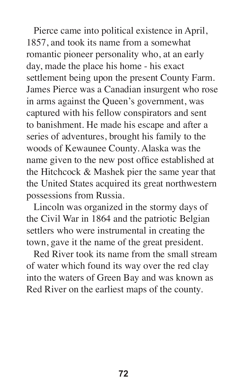Pierce came into political existence in April, 1857, and took its name from a somewhat romantic pioneer personality who, at an early day, made the place his home - his exact settlement being upon the present County Farm. James Pierce was a Canadian insurgent who rose in arms against the Queen's government, was captured with his fellow conspirators and sent to banishment. He made his escape and after a series of adventures, brought his family to the woods of Kewaunee County. Alaska was the name given to the new post office established at the Hitchcock & Mashek pier the same year that the United States acquired its great northwestern possessions from Russia.

 Lincoln was organized in the stormy days of the Civil War in 1864 and the patriotic Belgian settlers who were instrumental in creating the town, gave it the name of the great president.

 Red River took its name from the small stream of water which found its way over the red clay into the waters of Green Bay and was known as Red River on the earliest maps of the county.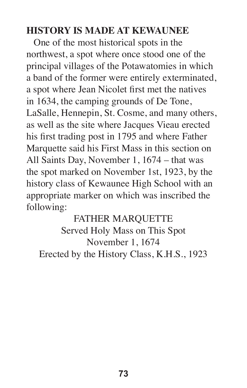## **HISTORY IS MADE AT KEWAUNEE**

 One of the most historical spots in the northwest, a spot where once stood one of the principal villages of the Potawatomies in which a band of the former were entirely exterminated, a spot where Jean Nicolet first met the natives in 1634, the camping grounds of De Tone, LaSalle, Hennepin, St. Cosme, and many others, as well as the site where Jacques Vieau erected his first trading post in 1795 and where Father Marquette said his First Mass in this section on All Saints Day, November 1, 1674 – that was the spot marked on November 1st, 1923, by the history class of Kewaunee High School with an appropriate marker on which was inscribed the following:

FATHER MARQUETTE Served Holy Mass on This Spot November 1, 1674 Erected by the History Class, K.H.S., 1923